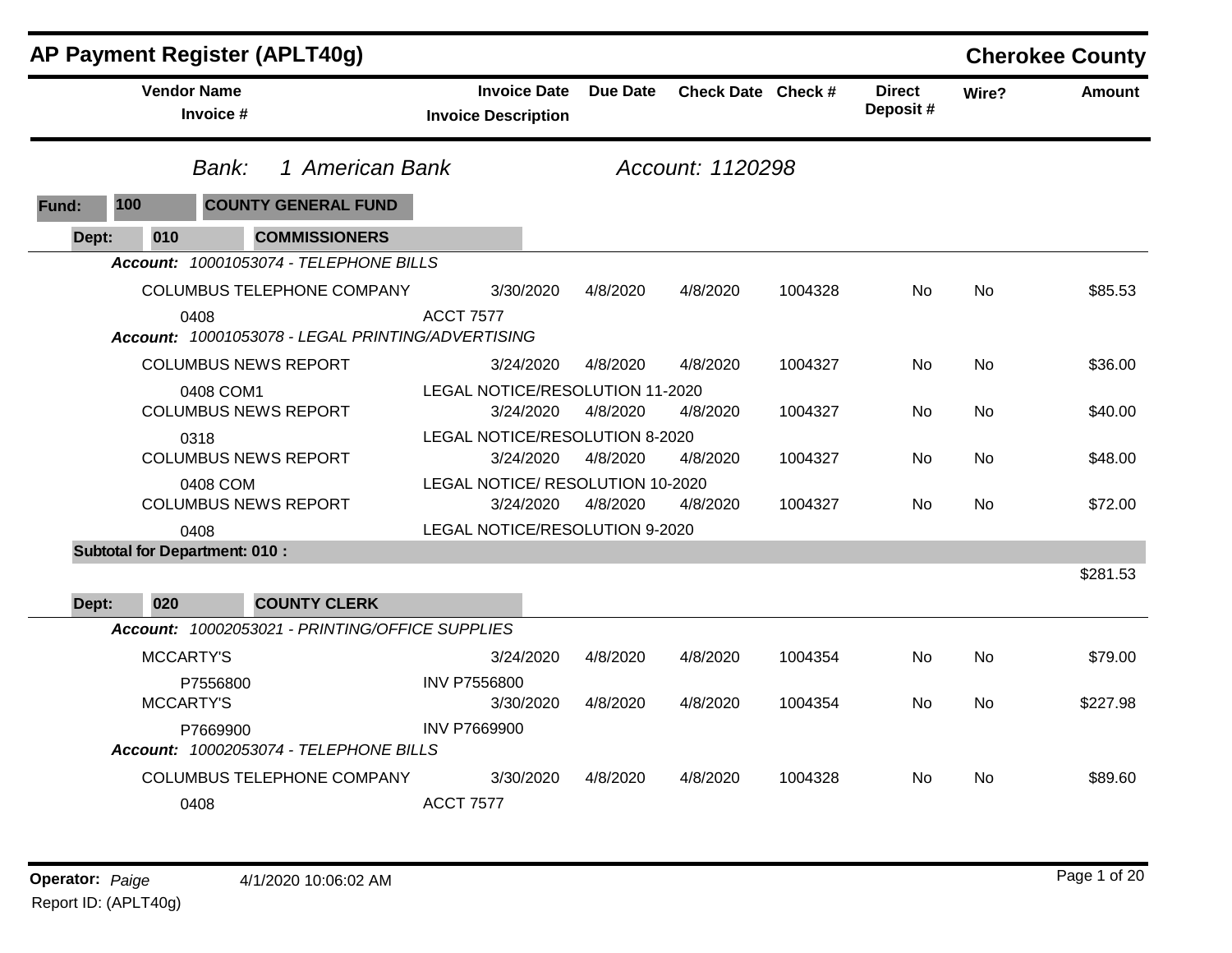|       | <b>AP Payment Register (APLT40g)</b> |                                                           |                  |                                                   |                 |                    |         |                           |           | <b>Cherokee County</b> |
|-------|--------------------------------------|-----------------------------------------------------------|------------------|---------------------------------------------------|-----------------|--------------------|---------|---------------------------|-----------|------------------------|
|       |                                      | <b>Vendor Name</b><br>Invoice #                           |                  | <b>Invoice Date</b><br><b>Invoice Description</b> | <b>Due Date</b> | Check Date Check # |         | <b>Direct</b><br>Deposit# | Wire?     | <b>Amount</b>          |
|       |                                      | 1 American Bank<br>Bank:                                  |                  |                                                   |                 | Account: 1120298   |         |                           |           |                        |
| Fund: | 100                                  | <b>COUNTY GENERAL FUND</b>                                |                  |                                                   |                 |                    |         |                           |           |                        |
| Dept: | 010                                  | <b>COMMISSIONERS</b>                                      |                  |                                                   |                 |                    |         |                           |           |                        |
|       |                                      | Account: 10001053074 - TELEPHONE BILLS                    |                  |                                                   |                 |                    |         |                           |           |                        |
|       |                                      | COLUMBUS TELEPHONE COMPANY                                |                  | 3/30/2020                                         | 4/8/2020        | 4/8/2020           | 1004328 | No                        | <b>No</b> | \$85.53                |
|       |                                      | 0408<br>Account: 10001053078 - LEGAL PRINTING/ADVERTISING | <b>ACCT 7577</b> |                                                   |                 |                    |         |                           |           |                        |
|       |                                      | <b>COLUMBUS NEWS REPORT</b>                               |                  | 3/24/2020                                         | 4/8/2020        | 4/8/2020           | 1004327 | No                        | No        | \$36.00                |
|       |                                      | 0408 COM1<br><b>COLUMBUS NEWS REPORT</b>                  |                  | LEGAL NOTICE/RESOLUTION 11-2020<br>3/24/2020      | 4/8/2020        | 4/8/2020           | 1004327 | No.                       | No        | \$40.00                |
|       |                                      | 0318                                                      |                  | LEGAL NOTICE/RESOLUTION 8-2020                    |                 |                    |         |                           |           |                        |
|       |                                      | <b>COLUMBUS NEWS REPORT</b>                               |                  | 3/24/2020                                         | 4/8/2020        | 4/8/2020           | 1004327 | No                        | No        | \$48.00                |
|       |                                      | 0408 COM<br><b>COLUMBUS NEWS REPORT</b>                   |                  | LEGAL NOTICE/ RESOLUTION 10-2020<br>3/24/2020     | 4/8/2020        | 4/8/2020           | 1004327 | No.                       | <b>No</b> | \$72.00                |
|       |                                      | 0408                                                      |                  | LEGAL NOTICE/RESOLUTION 9-2020                    |                 |                    |         |                           |           |                        |
|       |                                      | <b>Subtotal for Department: 010:</b>                      |                  |                                                   |                 |                    |         |                           |           |                        |
|       |                                      |                                                           |                  |                                                   |                 |                    |         |                           |           | \$281.53               |
| Dept: | 020                                  | <b>COUNTY CLERK</b>                                       |                  |                                                   |                 |                    |         |                           |           |                        |
|       |                                      | Account: 10002053021 - PRINTING/OFFICE SUPPLIES           |                  |                                                   |                 |                    |         |                           |           |                        |
|       |                                      | <b>MCCARTY'S</b>                                          |                  | 3/24/2020                                         | 4/8/2020        | 4/8/2020           | 1004354 | No                        | No        | \$79.00                |
|       |                                      | P7556800<br><b>MCCARTY'S</b>                              |                  | <b>INV P7556800</b><br>3/30/2020                  | 4/8/2020        | 4/8/2020           | 1004354 | No                        | <b>No</b> | \$227.98               |
|       |                                      | P7669900<br>Account: 10002053074 - TELEPHONE BILLS        |                  | <b>INV P7669900</b>                               |                 |                    |         |                           |           |                        |
|       |                                      | COLUMBUS TELEPHONE COMPANY                                |                  | 3/30/2020                                         | 4/8/2020        | 4/8/2020           | 1004328 | No.                       | No.       | \$89.60                |
|       |                                      | 0408                                                      |                  | <b>ACCT 7577</b>                                  |                 |                    |         |                           |           |                        |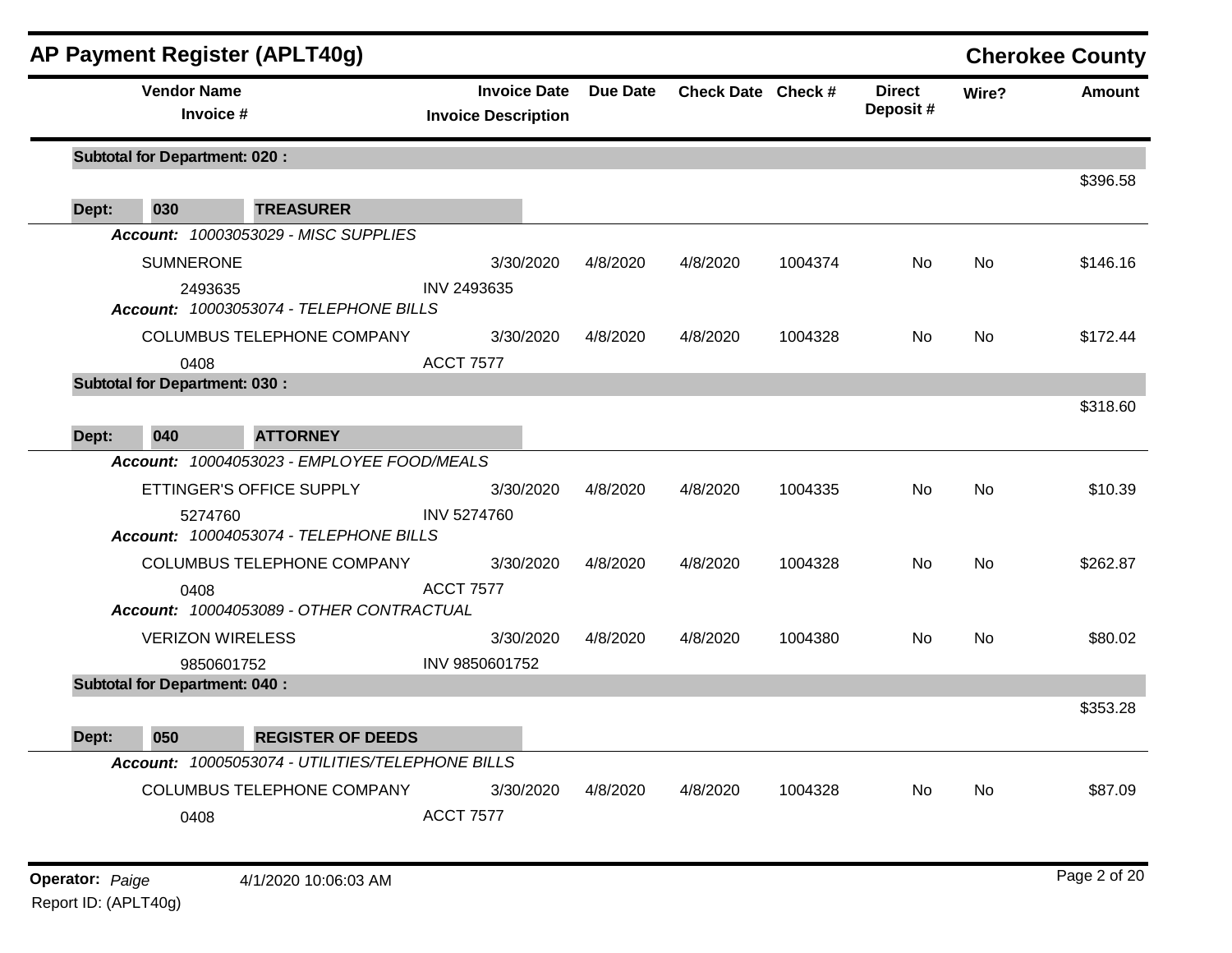|       | AP Payment Register (APLT40g)                                                       |                                                   |          |                    |         |                           |           | <b>Cherokee County</b> |
|-------|-------------------------------------------------------------------------------------|---------------------------------------------------|----------|--------------------|---------|---------------------------|-----------|------------------------|
|       | <b>Vendor Name</b><br>Invoice #                                                     | <b>Invoice Date</b><br><b>Invoice Description</b> | Due Date | Check Date Check # |         | <b>Direct</b><br>Deposit# | Wire?     | <b>Amount</b>          |
|       | <b>Subtotal for Department: 020:</b>                                                |                                                   |          |                    |         |                           |           | \$396.58               |
| Dept: | 030<br><b>TREASURER</b>                                                             |                                                   |          |                    |         |                           |           |                        |
|       | Account: 10003053029 - MISC SUPPLIES                                                |                                                   |          |                    |         |                           |           |                        |
|       | <b>SUMNERONE</b>                                                                    | 3/30/2020                                         | 4/8/2020 | 4/8/2020           | 1004374 | No                        | <b>No</b> | \$146.16               |
|       | 2493635<br>Account: 10003053074 - TELEPHONE BILLS                                   | INV 2493635                                       |          |                    |         |                           |           |                        |
|       | <b>COLUMBUS TELEPHONE COMPANY</b>                                                   | 3/30/2020                                         | 4/8/2020 | 4/8/2020           | 1004328 | No.                       | No.       | \$172.44               |
|       | 0408                                                                                | <b>ACCT 7577</b>                                  |          |                    |         |                           |           |                        |
|       | <b>Subtotal for Department: 030:</b>                                                |                                                   |          |                    |         |                           |           | \$318.60               |
| Dept: | 040<br><b>ATTORNEY</b>                                                              |                                                   |          |                    |         |                           |           |                        |
|       | Account: 10004053023 - EMPLOYEE FOOD/MEALS                                          |                                                   |          |                    |         |                           |           |                        |
|       | ETTINGER'S OFFICE SUPPLY                                                            | 3/30/2020                                         | 4/8/2020 | 4/8/2020           | 1004335 | No.                       | No        | \$10.39                |
|       | 5274760<br>Account: 10004053074 - TELEPHONE BILLS                                   | <b>INV 5274760</b>                                |          |                    |         |                           |           |                        |
|       | <b>COLUMBUS TELEPHONE COMPANY</b>                                                   | 3/30/2020                                         | 4/8/2020 | 4/8/2020           | 1004328 | No                        | No        | \$262.87               |
|       | 0408<br>Account: 10004053089 - OTHER CONTRACTUAL                                    | <b>ACCT 7577</b>                                  |          |                    |         |                           |           |                        |
|       | <b>VERIZON WIRELESS</b>                                                             | 3/30/2020                                         | 4/8/2020 | 4/8/2020           | 1004380 | No.                       | <b>No</b> | \$80.02                |
|       | 9850601752                                                                          | INV 9850601752                                    |          |                    |         |                           |           |                        |
|       | <b>Subtotal for Department: 040:</b>                                                |                                                   |          |                    |         |                           |           |                        |
|       |                                                                                     |                                                   |          |                    |         |                           |           | \$353.28               |
| Dept: | 050<br><b>REGISTER OF DEEDS</b><br>Account: 10005053074 - UTILITIES/TELEPHONE BILLS |                                                   |          |                    |         |                           |           |                        |
|       |                                                                                     |                                                   |          |                    |         |                           |           |                        |
|       | COLUMBUS TELEPHONE COMPANY<br>0408                                                  | 3/30/2020<br><b>ACCT 7577</b>                     | 4/8/2020 | 4/8/2020           | 1004328 | No.                       | No        | \$87.09                |
|       |                                                                                     |                                                   |          |                    |         |                           |           |                        |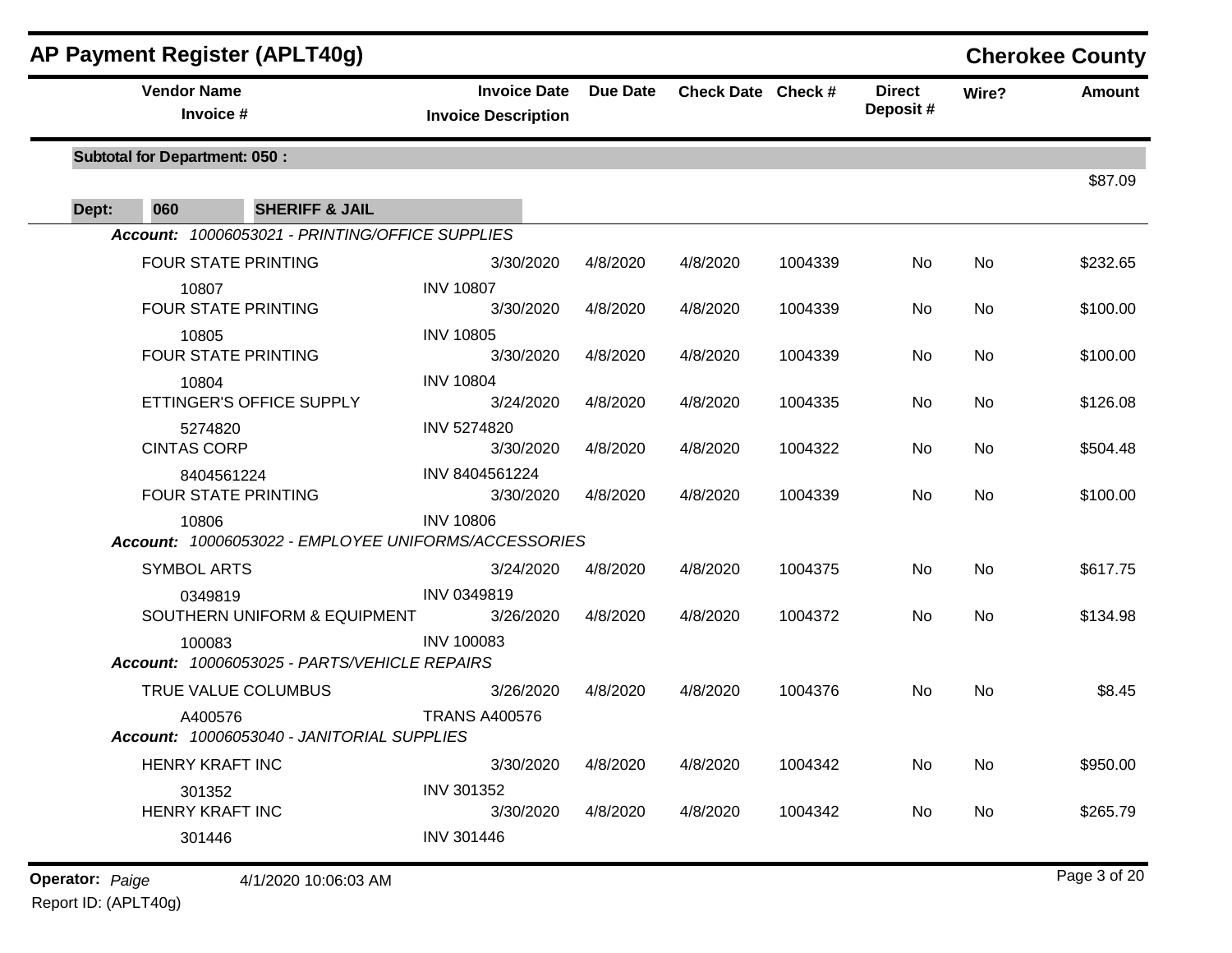|       |                                          | <b>AP Payment Register (APLT40g)</b>            |                                                                          |                 |                    |         |                           |       | <b>Cherokee County</b> |
|-------|------------------------------------------|-------------------------------------------------|--------------------------------------------------------------------------|-----------------|--------------------|---------|---------------------------|-------|------------------------|
|       | <b>Vendor Name</b><br>Invoice #          |                                                 | <b>Invoice Date</b><br><b>Invoice Description</b>                        | <b>Due Date</b> | Check Date Check # |         | <b>Direct</b><br>Deposit# | Wire? | <b>Amount</b>          |
|       | <b>Subtotal for Department: 050:</b>     |                                                 |                                                                          |                 |                    |         |                           |       |                        |
| Dept: | 060                                      | <b>SHERIFF &amp; JAIL</b>                       |                                                                          |                 |                    |         |                           |       | \$87.09                |
|       |                                          | Account: 10006053021 - PRINTING/OFFICE SUPPLIES |                                                                          |                 |                    |         |                           |       |                        |
|       | <b>FOUR STATE PRINTING</b>               |                                                 | 3/30/2020                                                                | 4/8/2020        | 4/8/2020           | 1004339 | No                        | No    | \$232.65               |
|       | 10807<br><b>FOUR STATE PRINTING</b>      |                                                 | <b>INV 10807</b><br>3/30/2020                                            | 4/8/2020        | 4/8/2020           | 1004339 | No                        | No    | \$100.00               |
|       | 10805<br>FOUR STATE PRINTING             |                                                 | <b>INV 10805</b><br>3/30/2020                                            | 4/8/2020        | 4/8/2020           | 1004339 | No                        | No    | \$100.00               |
|       | 10804                                    | ETTINGER'S OFFICE SUPPLY                        | <b>INV 10804</b><br>3/24/2020                                            | 4/8/2020        | 4/8/2020           | 1004335 | No                        | No    | \$126.08               |
|       | 5274820<br><b>CINTAS CORP</b>            |                                                 | <b>INV 5274820</b><br>3/30/2020                                          | 4/8/2020        | 4/8/2020           | 1004322 | No                        | No    | \$504.48               |
|       | 8404561224<br><b>FOUR STATE PRINTING</b> |                                                 | INV 8404561224<br>3/30/2020                                              | 4/8/2020        | 4/8/2020           | 1004339 | No                        | No    | \$100.00               |
|       | 10806                                    |                                                 | <b>INV 10806</b><br>Account: 10006053022 - EMPLOYEE UNIFORMS/ACCESSORIES |                 |                    |         |                           |       |                        |
|       | <b>SYMBOL ARTS</b>                       |                                                 | 3/24/2020                                                                | 4/8/2020        | 4/8/2020           | 1004375 | No                        | No    | \$617.75               |
|       | 0349819                                  | SOUTHERN UNIFORM & EQUIPMENT                    | INV 0349819<br>3/26/2020                                                 | 4/8/2020        | 4/8/2020           | 1004372 | No.                       | No    | \$134.98               |
|       | 100083                                   | Account: 10006053025 - PARTS/VEHICLE REPAIRS    | <b>INV 100083</b>                                                        |                 |                    |         |                           |       |                        |
|       | TRUE VALUE COLUMBUS                      |                                                 | 3/26/2020                                                                | 4/8/2020        | 4/8/2020           | 1004376 | No                        | No    | \$8.45                 |
|       | A400576                                  | Account: 10006053040 - JANITORIAL SUPPLIES      | <b>TRANS A400576</b>                                                     |                 |                    |         |                           |       |                        |
|       | HENRY KRAFT INC                          |                                                 | 3/30/2020                                                                | 4/8/2020        | 4/8/2020           | 1004342 | No                        | No    | \$950.00               |
|       | 301352<br>HENRY KRAFT INC                |                                                 | INV 301352<br>3/30/2020                                                  | 4/8/2020        | 4/8/2020           | 1004342 | No                        | No    | \$265.79               |
|       | 301446                                   |                                                 | <b>INV 301446</b>                                                        |                 |                    |         |                           |       |                        |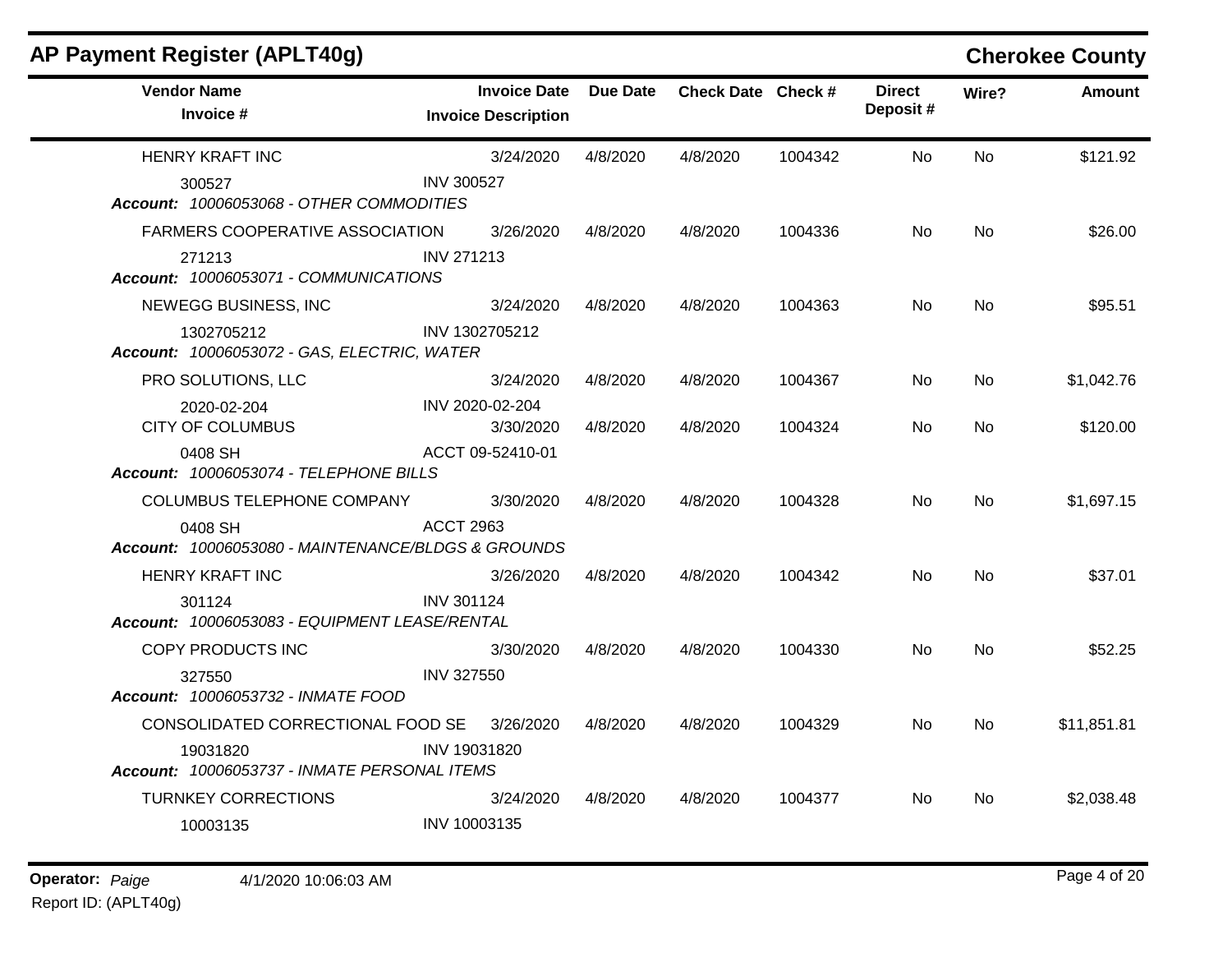| AP Payment Register (APLT40g)                                 |                                                   |          |                    |         |                           |           | <b>Cherokee County</b> |
|---------------------------------------------------------------|---------------------------------------------------|----------|--------------------|---------|---------------------------|-----------|------------------------|
| <b>Vendor Name</b><br>Invoice #                               | <b>Invoice Date</b><br><b>Invoice Description</b> | Due Date | Check Date Check # |         | <b>Direct</b><br>Deposit# | Wire?     | <b>Amount</b>          |
| <b>HENRY KRAFT INC</b>                                        | 3/24/2020                                         | 4/8/2020 | 4/8/2020           | 1004342 | <b>No</b>                 | <b>No</b> | \$121.92               |
| 300527<br>Account: 10006053068 - OTHER COMMODITIES            | <b>INV 300527</b>                                 |          |                    |         |                           |           |                        |
| <b>FARMERS COOPERATIVE ASSOCIATION</b>                        | 3/26/2020                                         | 4/8/2020 | 4/8/2020           | 1004336 | No.                       | No        | \$26.00                |
| 271213<br>Account: 10006053071 - COMMUNICATIONS               | INV 271213                                        |          |                    |         |                           |           |                        |
| NEWEGG BUSINESS, INC                                          | 3/24/2020                                         | 4/8/2020 | 4/8/2020           | 1004363 | No                        | No        | \$95.51                |
| 1302705212<br>Account: 10006053072 - GAS, ELECTRIC, WATER     | INV 1302705212                                    |          |                    |         |                           |           |                        |
| PRO SOLUTIONS, LLC                                            | 3/24/2020                                         | 4/8/2020 | 4/8/2020           | 1004367 | No.                       | No.       | \$1,042.76             |
| 2020-02-204<br><b>CITY OF COLUMBUS</b>                        | INV 2020-02-204<br>3/30/2020                      | 4/8/2020 | 4/8/2020           | 1004324 | <b>No</b>                 | <b>No</b> | \$120.00               |
| 0408 SH<br>Account: 10006053074 - TELEPHONE BILLS             | ACCT 09-52410-01                                  |          |                    |         |                           |           |                        |
| <b>COLUMBUS TELEPHONE COMPANY</b>                             | 3/30/2020                                         | 4/8/2020 | 4/8/2020           | 1004328 | No.                       | <b>No</b> | \$1,697.15             |
| 0408 SH<br>Account: 10006053080 - MAINTENANCE/BLDGS & GROUNDS | <b>ACCT 2963</b>                                  |          |                    |         |                           |           |                        |
| <b>HENRY KRAFT INC</b>                                        | 3/26/2020                                         | 4/8/2020 | 4/8/2020           | 1004342 | No                        | No        | \$37.01                |
| 301124<br>Account: 10006053083 - EQUIPMENT LEASE/RENTAL       | <b>INV 301124</b>                                 |          |                    |         |                           |           |                        |
| COPY PRODUCTS INC                                             | 3/30/2020                                         | 4/8/2020 | 4/8/2020           | 1004330 | No                        | No        | \$52.25                |
| 327550<br>Account: 10006053732 - INMATE FOOD                  | <b>INV 327550</b>                                 |          |                    |         |                           |           |                        |
| CONSOLIDATED CORRECTIONAL FOOD SE                             | 3/26/2020                                         | 4/8/2020 | 4/8/2020           | 1004329 | No.                       | No.       | \$11,851.81            |
| 19031820<br>Account: 10006053737 - INMATE PERSONAL ITEMS      | INV 19031820                                      |          |                    |         |                           |           |                        |
| <b>TURNKEY CORRECTIONS</b>                                    | 3/24/2020                                         | 4/8/2020 | 4/8/2020           | 1004377 | No.                       | No        | \$2,038.48             |
| 10003135                                                      | INV 10003135                                      |          |                    |         |                           |           |                        |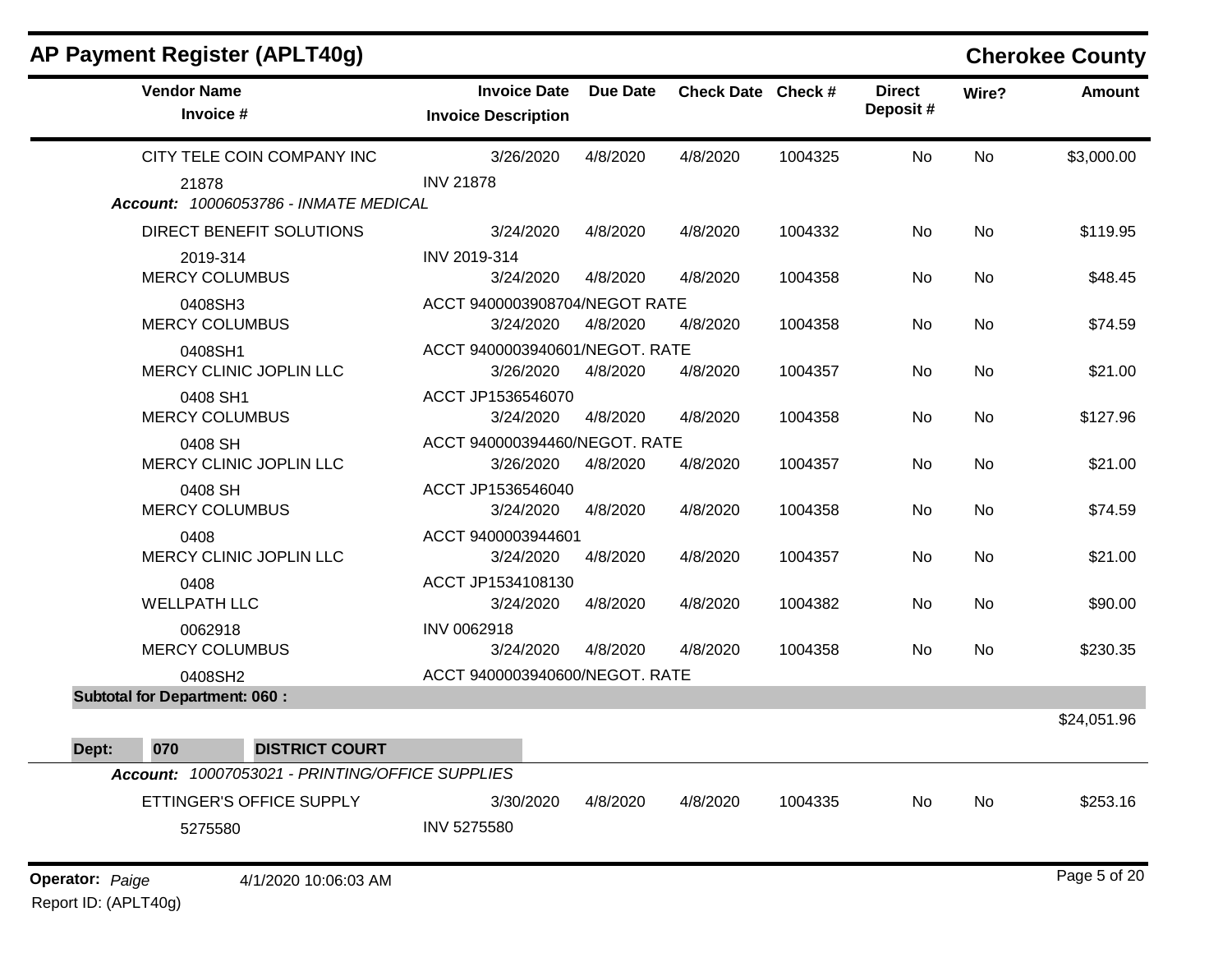| <b>Vendor Name</b><br>Invoice #                 | <b>Invoice Date</b><br><b>Invoice Description</b> | <b>Due Date</b> | Check Date Check # |         | <b>Direct</b><br>Deposit# | Wire?     | <b>Amount</b> |
|-------------------------------------------------|---------------------------------------------------|-----------------|--------------------|---------|---------------------------|-----------|---------------|
| CITY TELE COIN COMPANY INC                      | 3/26/2020                                         | 4/8/2020        | 4/8/2020           | 1004325 | No                        | <b>No</b> | \$3,000.00    |
| 21878<br>Account: 10006053786 - INMATE MEDICAL  | <b>INV 21878</b>                                  |                 |                    |         |                           |           |               |
| DIRECT BENEFIT SOLUTIONS                        | 3/24/2020                                         | 4/8/2020        | 4/8/2020           | 1004332 | No                        | No        | \$119.95      |
| 2019-314<br><b>MERCY COLUMBUS</b>               | INV 2019-314<br>3/24/2020                         | 4/8/2020        | 4/8/2020           | 1004358 | No                        | No.       | \$48.45       |
| 0408SH3<br><b>MERCY COLUMBUS</b>                | ACCT 9400003908704/NEGOT RATE<br>3/24/2020        | 4/8/2020        | 4/8/2020           | 1004358 | No                        | No        | \$74.59       |
| 0408SH1<br>MERCY CLINIC JOPLIN LLC              | ACCT 9400003940601/NEGOT. RATE<br>3/26/2020       | 4/8/2020        | 4/8/2020           | 1004357 | No                        | No        | \$21.00       |
| 0408 SH1<br><b>MERCY COLUMBUS</b>               | ACCT JP1536546070<br>3/24/2020                    | 4/8/2020        | 4/8/2020           | 1004358 | No                        | No        | \$127.96      |
| 0408 SH<br>MERCY CLINIC JOPLIN LLC              | ACCT 940000394460/NEGOT. RATE<br>3/26/2020        | 4/8/2020        | 4/8/2020           | 1004357 | No                        | <b>No</b> | \$21.00       |
| 0408 SH<br><b>MERCY COLUMBUS</b>                | ACCT JP1536546040<br>3/24/2020                    | 4/8/2020        | 4/8/2020           | 1004358 | No                        | No        | \$74.59       |
| 0408<br>MERCY CLINIC JOPLIN LLC                 | ACCT 9400003944601<br>3/24/2020                   | 4/8/2020        | 4/8/2020           | 1004357 | No                        | <b>No</b> | \$21.00       |
| 0408<br><b>WELLPATH LLC</b>                     | ACCT JP1534108130<br>3/24/2020                    | 4/8/2020        | 4/8/2020           | 1004382 | No                        | No        | \$90.00       |
| 0062918<br><b>MERCY COLUMBUS</b>                | INV 0062918<br>3/24/2020                          | 4/8/2020        | 4/8/2020           | 1004358 | No                        | <b>No</b> | \$230.35      |
| 0408SH2                                         | ACCT 9400003940600/NEGOT. RATE                    |                 |                    |         |                           |           |               |
| <b>Subtotal for Department: 060:</b>            |                                                   |                 |                    |         |                           |           | \$24,051.96   |
| 070<br>Dept:<br><b>DISTRICT COURT</b>           |                                                   |                 |                    |         |                           |           |               |
| Account: 10007053021 - PRINTING/OFFICE SUPPLIES |                                                   |                 |                    |         |                           |           |               |
| ETTINGER'S OFFICE SUPPLY<br>5275580             | 3/30/2020<br>INV 5275580                          | 4/8/2020        | 4/8/2020           | 1004335 | <b>No</b>                 | <b>No</b> | \$253.16      |

## **AP Payment Register (APLT40g) Cherokee County**

**Operator:** Paige 4/1/2020 10:06:03 AM Page 5 of 20 Report ID: (APLT40g)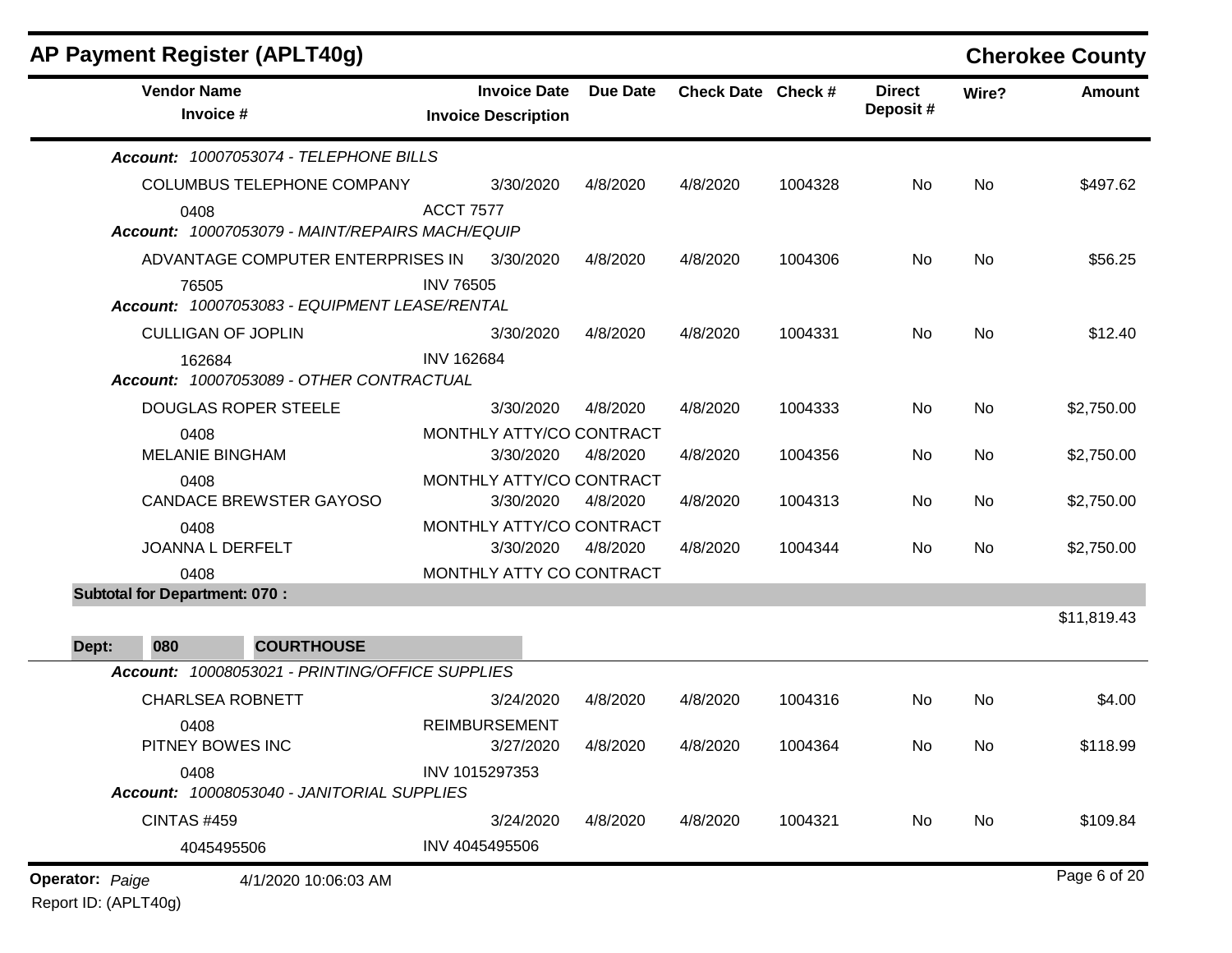| <b>AP Payment Register (APLT40g)</b>                    |                                                   |          |                    |         |                           |           | <b>Cherokee County</b> |
|---------------------------------------------------------|---------------------------------------------------|----------|--------------------|---------|---------------------------|-----------|------------------------|
| <b>Vendor Name</b><br>Invoice #                         | <b>Invoice Date</b><br><b>Invoice Description</b> | Due Date | Check Date Check # |         | <b>Direct</b><br>Deposit# | Wire?     | <b>Amount</b>          |
| Account: 10007053074 - TELEPHONE BILLS                  |                                                   |          |                    |         |                           |           |                        |
| COLUMBUS TELEPHONE COMPANY                              | 3/30/2020                                         | 4/8/2020 | 4/8/2020           | 1004328 | No                        | <b>No</b> | \$497.62               |
| 0408<br>Account: 10007053079 - MAINT/REPAIRS MACH/EQUIP | <b>ACCT 7577</b>                                  |          |                    |         |                           |           |                        |
| ADVANTAGE COMPUTER ENTERPRISES IN                       | 3/30/2020                                         | 4/8/2020 | 4/8/2020           | 1004306 | No                        | <b>No</b> | \$56.25                |
| 76505<br>Account: 10007053083 - EQUIPMENT LEASE/RENTAL  | <b>INV 76505</b>                                  |          |                    |         |                           |           |                        |
| <b>CULLIGAN OF JOPLIN</b>                               | 3/30/2020                                         | 4/8/2020 | 4/8/2020           | 1004331 | No                        | <b>No</b> | \$12.40                |
| 162684<br>Account: 10007053089 - OTHER CONTRACTUAL      | <b>INV 162684</b>                                 |          |                    |         |                           |           |                        |
| <b>DOUGLAS ROPER STEELE</b>                             | 3/30/2020                                         | 4/8/2020 | 4/8/2020           | 1004333 | No                        | No        | \$2,750.00             |
| 0408<br><b>MELANIE BINGHAM</b>                          | MONTHLY ATTY/CO CONTRACT<br>3/30/2020             | 4/8/2020 | 4/8/2020           | 1004356 | No                        | No        | \$2,750.00             |
| 0408<br><b>CANDACE BREWSTER GAYOSO</b>                  | MONTHLY ATTY/CO CONTRACT<br>3/30/2020             | 4/8/2020 | 4/8/2020           | 1004313 | No                        | No        | \$2,750.00             |
| 0408<br>JOANNA L DERFELT                                | MONTHLY ATTY/CO CONTRACT<br>3/30/2020             | 4/8/2020 | 4/8/2020           | 1004344 | No.                       | No        | \$2,750.00             |
| 0408                                                    | MONTHLY ATTY CO CONTRACT                          |          |                    |         |                           |           |                        |
| <b>Subtotal for Department: 070:</b>                    |                                                   |          |                    |         |                           |           |                        |
| <b>COURTHOUSE</b><br>Dept:<br>080                       |                                                   |          |                    |         |                           |           | \$11,819.43            |
| Account: 10008053021 - PRINTING/OFFICE SUPPLIES         |                                                   |          |                    |         |                           |           |                        |
| <b>CHARLSEA ROBNETT</b>                                 | 3/24/2020                                         | 4/8/2020 | 4/8/2020           | 1004316 | No                        | No        | \$4.00                 |
| 0408<br>PITNEY BOWES INC                                | <b>REIMBURSEMENT</b><br>3/27/2020                 | 4/8/2020 | 4/8/2020           | 1004364 | No                        | No        | \$118.99               |
| 0408<br>Account: 10008053040 - JANITORIAL SUPPLIES      | INV 1015297353                                    |          |                    |         |                           |           |                        |
| <b>CINTAS #459</b>                                      | 3/24/2020                                         | 4/8/2020 | 4/8/2020           | 1004321 | No                        | No        | \$109.84               |
| 4045495506                                              | INV 4045495506                                    |          |                    |         |                           |           |                        |
| Operator: Paige<br>4/1/2020 10:06:03 AM                 |                                                   |          |                    |         |                           |           | Page 6 of 20           |

### Report ID: (APLT40g)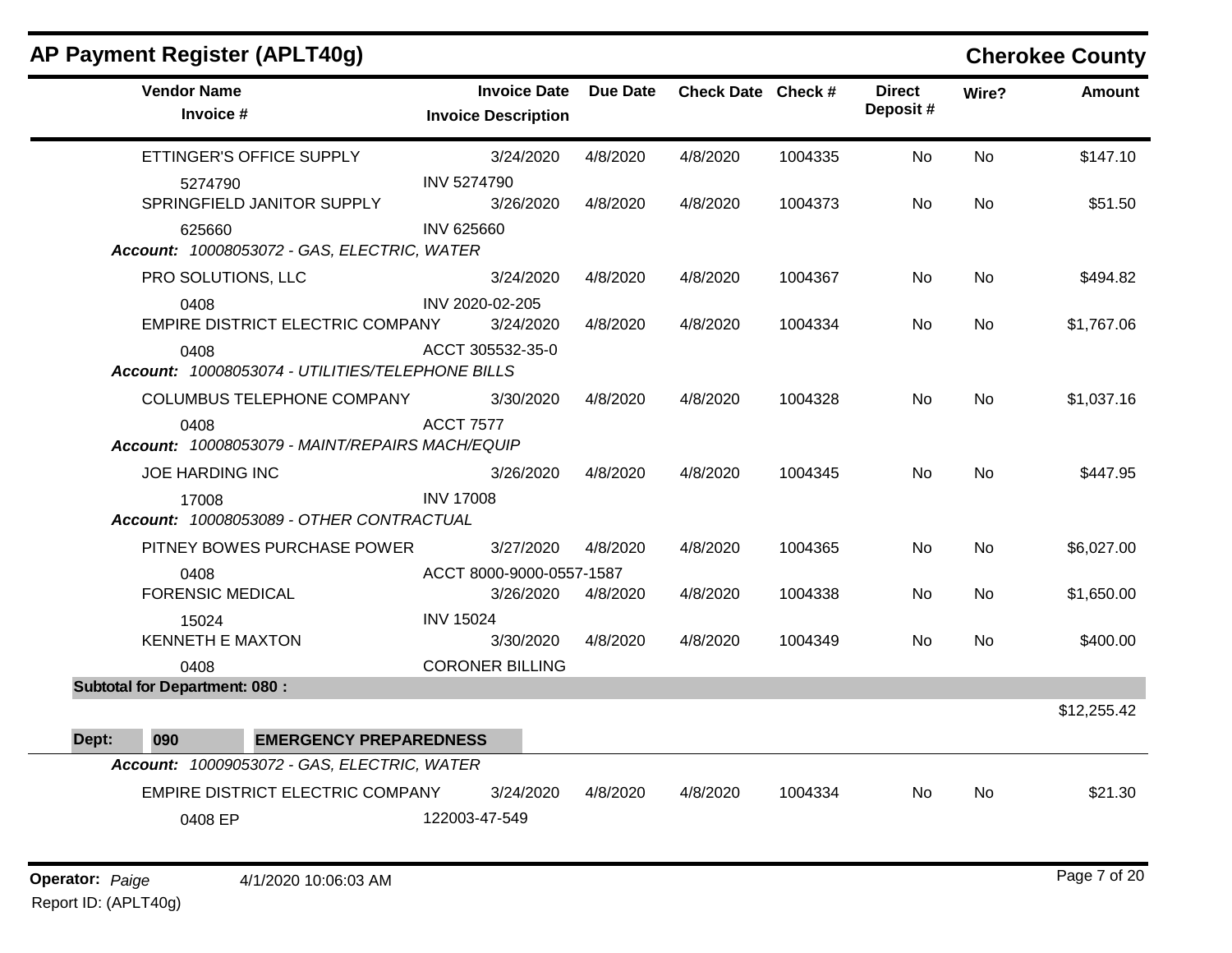| <b>AP Payment Register (APLT40g)</b>                     |                                                   |                 |                    |         |                            |           | <b>Cherokee County</b> |
|----------------------------------------------------------|---------------------------------------------------|-----------------|--------------------|---------|----------------------------|-----------|------------------------|
| <b>Vendor Name</b><br>Invoice #                          | <b>Invoice Date</b><br><b>Invoice Description</b> | <b>Due Date</b> | Check Date Check # |         | <b>Direct</b><br>Deposit # | Wire?     | <b>Amount</b>          |
| ETTINGER'S OFFICE SUPPLY                                 | 3/24/2020                                         | 4/8/2020        | 4/8/2020           | 1004335 | <b>No</b>                  | <b>No</b> | \$147.10               |
| 5274790                                                  | <b>INV 5274790</b>                                |                 |                    |         |                            |           |                        |
| SPRINGFIELD JANITOR SUPPLY                               | 3/26/2020                                         | 4/8/2020        | 4/8/2020           | 1004373 | No                         | <b>No</b> | \$51.50                |
| 625660<br>Account: 10008053072 - GAS, ELECTRIC, WATER    | <b>INV 625660</b>                                 |                 |                    |         |                            |           |                        |
| PRO SOLUTIONS, LLC                                       | 3/24/2020                                         | 4/8/2020        | 4/8/2020           | 1004367 | No.                        | <b>No</b> | \$494.82               |
| 0408<br>EMPIRE DISTRICT ELECTRIC COMPANY                 | INV 2020-02-205<br>3/24/2020                      | 4/8/2020        | 4/8/2020           | 1004334 | <b>No</b>                  | <b>No</b> | \$1,767.06             |
| 0408<br>Account: 10008053074 - UTILITIES/TELEPHONE BILLS | ACCT 305532-35-0                                  |                 |                    |         |                            |           |                        |
| <b>COLUMBUS TELEPHONE COMPANY</b>                        | 3/30/2020                                         | 4/8/2020        | 4/8/2020           | 1004328 | <b>No</b>                  | <b>No</b> | \$1,037.16             |
| 0408<br>Account: 10008053079 - MAINT/REPAIRS MACH/EQUIP  | <b>ACCT 7577</b>                                  |                 |                    |         |                            |           |                        |
| <b>JOE HARDING INC</b>                                   | 3/26/2020                                         | 4/8/2020        | 4/8/2020           | 1004345 | <b>No</b>                  | <b>No</b> | \$447.95               |
| 17008<br>Account: 10008053089 - OTHER CONTRACTUAL        | <b>INV 17008</b>                                  |                 |                    |         |                            |           |                        |
| PITNEY BOWES PURCHASE POWER                              | 3/27/2020                                         | 4/8/2020        | 4/8/2020           | 1004365 | No.                        | <b>No</b> | \$6,027.00             |
| 0408                                                     | ACCT 8000-9000-0557-1587                          |                 |                    |         |                            |           |                        |
| <b>FORENSIC MEDICAL</b>                                  | 3/26/2020                                         | 4/8/2020        | 4/8/2020           | 1004338 | <b>No</b>                  | No        | \$1,650.00             |
| 15024                                                    | <b>INV 15024</b>                                  |                 |                    |         |                            |           |                        |
| <b>KENNETH E MAXTON</b>                                  | 3/30/2020<br><b>CORONER BILLING</b>               | 4/8/2020        | 4/8/2020           | 1004349 | No                         | <b>No</b> | \$400.00               |
| 0408<br><b>Subtotal for Department: 080:</b>             |                                                   |                 |                    |         |                            |           |                        |
|                                                          |                                                   |                 |                    |         |                            |           | \$12,255.42            |
| <b>EMERGENCY PREPAREDNESS</b><br>Dept:<br>090            |                                                   |                 |                    |         |                            |           |                        |
| Account: 10009053072 - GAS, ELECTRIC, WATER              |                                                   |                 |                    |         |                            |           |                        |
| EMPIRE DISTRICT ELECTRIC COMPANY                         | 3/24/2020                                         | 4/8/2020        | 4/8/2020           | 1004334 | No.                        | No        | \$21.30                |
| 0408 EP                                                  | 122003-47-549                                     |                 |                    |         |                            |           |                        |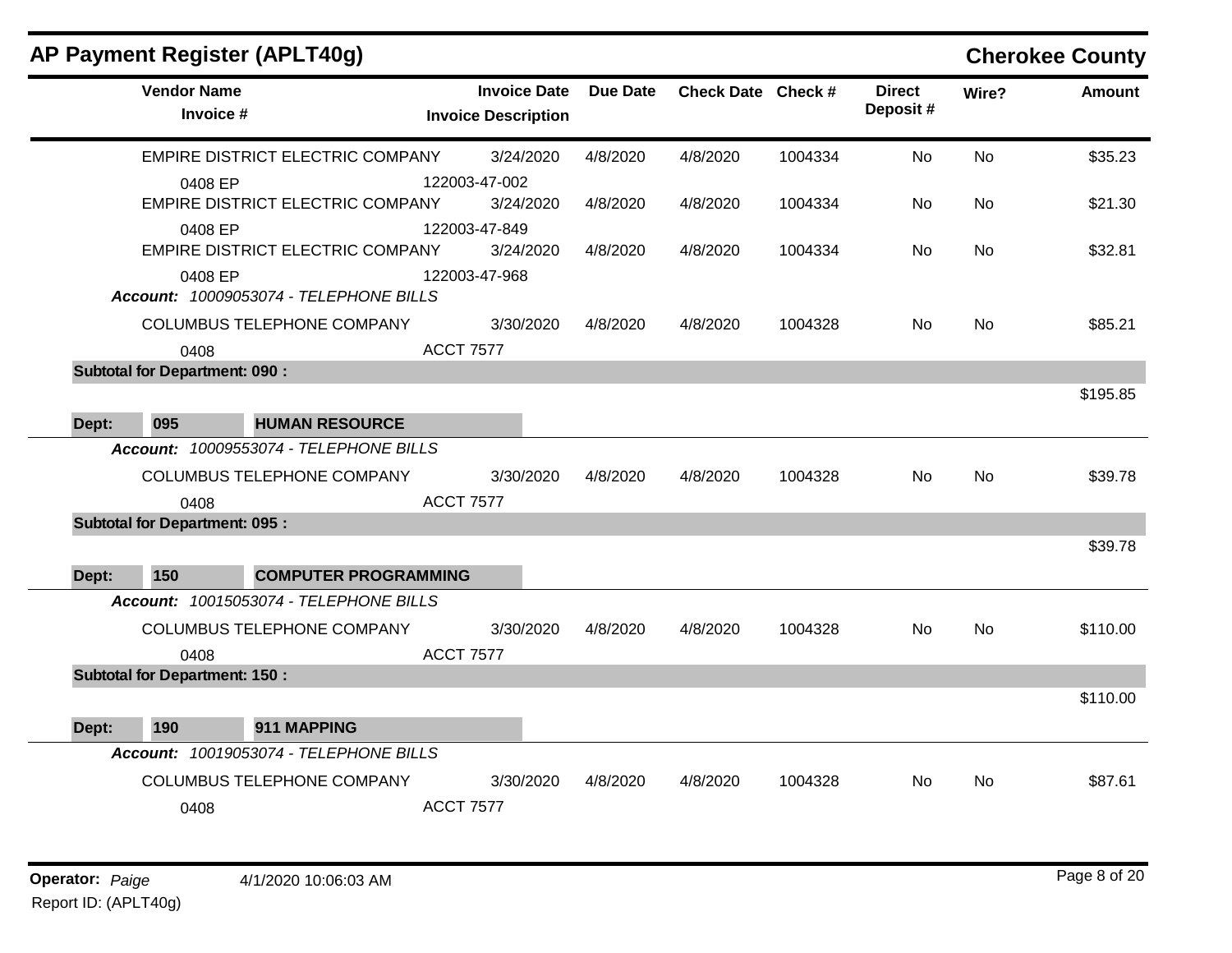|       | AP Payment Register (APLT40g)        |                                         |                                                   |                 |                    |         |                           |           | <b>Cherokee County</b> |
|-------|--------------------------------------|-----------------------------------------|---------------------------------------------------|-----------------|--------------------|---------|---------------------------|-----------|------------------------|
|       | <b>Vendor Name</b><br>Invoice #      |                                         | <b>Invoice Date</b><br><b>Invoice Description</b> | <b>Due Date</b> | Check Date Check # |         | <b>Direct</b><br>Deposit# | Wire?     | <b>Amount</b>          |
|       |                                      | EMPIRE DISTRICT ELECTRIC COMPANY        | 3/24/2020                                         | 4/8/2020        | 4/8/2020           | 1004334 | No                        | <b>No</b> | \$35.23                |
|       | 0408 EP                              |                                         | 122003-47-002                                     |                 |                    |         |                           |           |                        |
|       |                                      | <b>EMPIRE DISTRICT ELECTRIC COMPANY</b> | 3/24/2020                                         | 4/8/2020        | 4/8/2020           | 1004334 | No                        | <b>No</b> | \$21.30                |
|       | 0408 EP                              |                                         | 122003-47-849                                     |                 |                    |         |                           |           |                        |
|       |                                      | EMPIRE DISTRICT ELECTRIC COMPANY        | 3/24/2020                                         | 4/8/2020        | 4/8/2020           | 1004334 | No.                       | No.       | \$32.81                |
|       | 0408 EP                              | Account: 10009053074 - TELEPHONE BILLS  | 122003-47-968                                     |                 |                    |         |                           |           |                        |
|       |                                      | <b>COLUMBUS TELEPHONE COMPANY</b>       | 3/30/2020                                         | 4/8/2020        | 4/8/2020           | 1004328 | No                        | <b>No</b> | \$85.21                |
|       | 0408                                 |                                         | <b>ACCT 7577</b>                                  |                 |                    |         |                           |           |                        |
|       | <b>Subtotal for Department: 090:</b> |                                         |                                                   |                 |                    |         |                           |           |                        |
|       |                                      |                                         |                                                   |                 |                    |         |                           |           | \$195.85               |
| Dept: | 095                                  | <b>HUMAN RESOURCE</b>                   |                                                   |                 |                    |         |                           |           |                        |
|       |                                      | Account: 10009553074 - TELEPHONE BILLS  |                                                   |                 |                    |         |                           |           |                        |
|       |                                      | COLUMBUS TELEPHONE COMPANY              | 3/30/2020                                         | 4/8/2020        | 4/8/2020           | 1004328 | No                        | No.       | \$39.78                |
|       | 0408                                 |                                         | <b>ACCT 7577</b>                                  |                 |                    |         |                           |           |                        |
|       | <b>Subtotal for Department: 095:</b> |                                         |                                                   |                 |                    |         |                           |           |                        |
|       |                                      |                                         |                                                   |                 |                    |         |                           |           | \$39.78                |
| Dept: | 150                                  | <b>COMPUTER PROGRAMMING</b>             |                                                   |                 |                    |         |                           |           |                        |
|       |                                      | Account: 10015053074 - TELEPHONE BILLS  |                                                   |                 |                    |         |                           |           |                        |
|       |                                      | <b>COLUMBUS TELEPHONE COMPANY</b>       | 3/30/2020                                         | 4/8/2020        | 4/8/2020           | 1004328 | No                        | <b>No</b> | \$110.00               |
|       | 0408                                 |                                         | <b>ACCT 7577</b>                                  |                 |                    |         |                           |           |                        |
|       | <b>Subtotal for Department: 150:</b> |                                         |                                                   |                 |                    |         |                           |           |                        |
|       |                                      |                                         |                                                   |                 |                    |         |                           |           | \$110.00               |
| Dept: | 190                                  | 911 MAPPING                             |                                                   |                 |                    |         |                           |           |                        |
|       |                                      | Account: 10019053074 - TELEPHONE BILLS  |                                                   |                 |                    |         |                           |           |                        |
|       |                                      | COLUMBUS TELEPHONE COMPANY              | 3/30/2020                                         | 4/8/2020        | 4/8/2020           | 1004328 | No                        | <b>No</b> | \$87.61                |
|       | 0408                                 |                                         | <b>ACCT 7577</b>                                  |                 |                    |         |                           |           |                        |
|       |                                      |                                         |                                                   |                 |                    |         |                           |           |                        |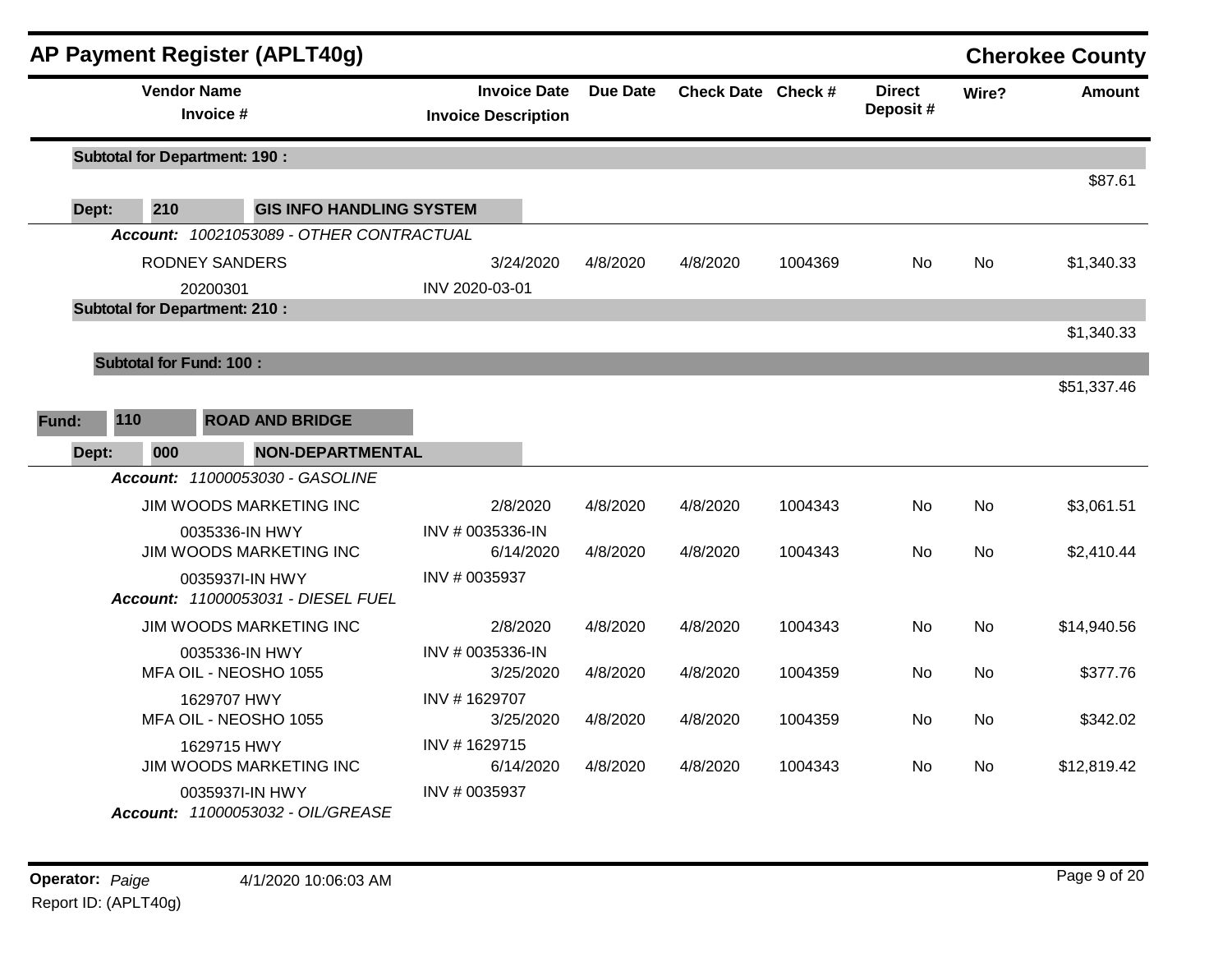|              | AP Payment Register (APLT40g)                         |                                                   |          |                    |         |                           |           | <b>Cherokee County</b> |
|--------------|-------------------------------------------------------|---------------------------------------------------|----------|--------------------|---------|---------------------------|-----------|------------------------|
|              | <b>Vendor Name</b><br>Invoice #                       | <b>Invoice Date</b><br><b>Invoice Description</b> | Due Date | Check Date Check # |         | <b>Direct</b><br>Deposit# | Wire?     | Amount                 |
|              | <b>Subtotal for Department: 190:</b>                  |                                                   |          |                    |         |                           |           | \$87.61                |
| Dept:        | 210<br><b>GIS INFO HANDLING SYSTEM</b>                |                                                   |          |                    |         |                           |           |                        |
|              | Account: 10021053089 - OTHER CONTRACTUAL              |                                                   |          |                    |         |                           |           |                        |
|              | <b>RODNEY SANDERS</b>                                 | 3/24/2020                                         | 4/8/2020 | 4/8/2020           | 1004369 | <b>No</b>                 | <b>No</b> | \$1,340.33             |
|              | 20200301                                              | INV 2020-03-01                                    |          |                    |         |                           |           |                        |
|              | <b>Subtotal for Department: 210:</b>                  |                                                   |          |                    |         |                           |           |                        |
|              |                                                       |                                                   |          |                    |         |                           |           | \$1,340.33             |
|              | <b>Subtotal for Fund: 100:</b>                        |                                                   |          |                    |         |                           |           |                        |
|              |                                                       |                                                   |          |                    |         |                           |           | \$51,337.46            |
| 110<br>Fund: | <b>ROAD AND BRIDGE</b>                                |                                                   |          |                    |         |                           |           |                        |
| Dept:        | 000<br><b>NON-DEPARTMENTAL</b>                        |                                                   |          |                    |         |                           |           |                        |
|              | Account: 11000053030 - GASOLINE                       |                                                   |          |                    |         |                           |           |                        |
|              | JIM WOODS MARKETING INC                               | 2/8/2020                                          | 4/8/2020 | 4/8/2020           | 1004343 | No.                       | <b>No</b> | \$3,061.51             |
|              | 0035336-IN HWY<br>JIM WOODS MARKETING INC             | INV # 0035336-IN<br>6/14/2020                     | 4/8/2020 | 4/8/2020           | 1004343 | <b>No</b>                 | <b>No</b> | \$2,410.44             |
|              | 0035937I-IN HWY<br>Account: 11000053031 - DIESEL FUEL | INV # 0035937                                     |          |                    |         |                           |           |                        |
|              | JIM WOODS MARKETING INC                               | 2/8/2020                                          | 4/8/2020 | 4/8/2020           | 1004343 | <b>No</b>                 | <b>No</b> | \$14,940.56            |
|              | 0035336-IN HWY<br>MFA OIL - NEOSHO 1055               | INV # 0035336-IN<br>3/25/2020                     | 4/8/2020 | 4/8/2020           | 1004359 | <b>No</b>                 | <b>No</b> | \$377.76               |
|              | 1629707 HWY<br>MFA OIL - NEOSHO 1055                  | INV #1629707<br>3/25/2020                         | 4/8/2020 | 4/8/2020           | 1004359 | No                        | <b>No</b> | \$342.02               |
|              | 1629715 HWY<br>JIM WOODS MARKETING INC                | INV #1629715<br>6/14/2020                         | 4/8/2020 | 4/8/2020           | 1004343 | No                        | <b>No</b> | \$12,819.42            |
|              | 0035937I-IN HWY<br>Account: 11000053032 - OIL/GREASE  | INV # 0035937                                     |          |                    |         |                           |           |                        |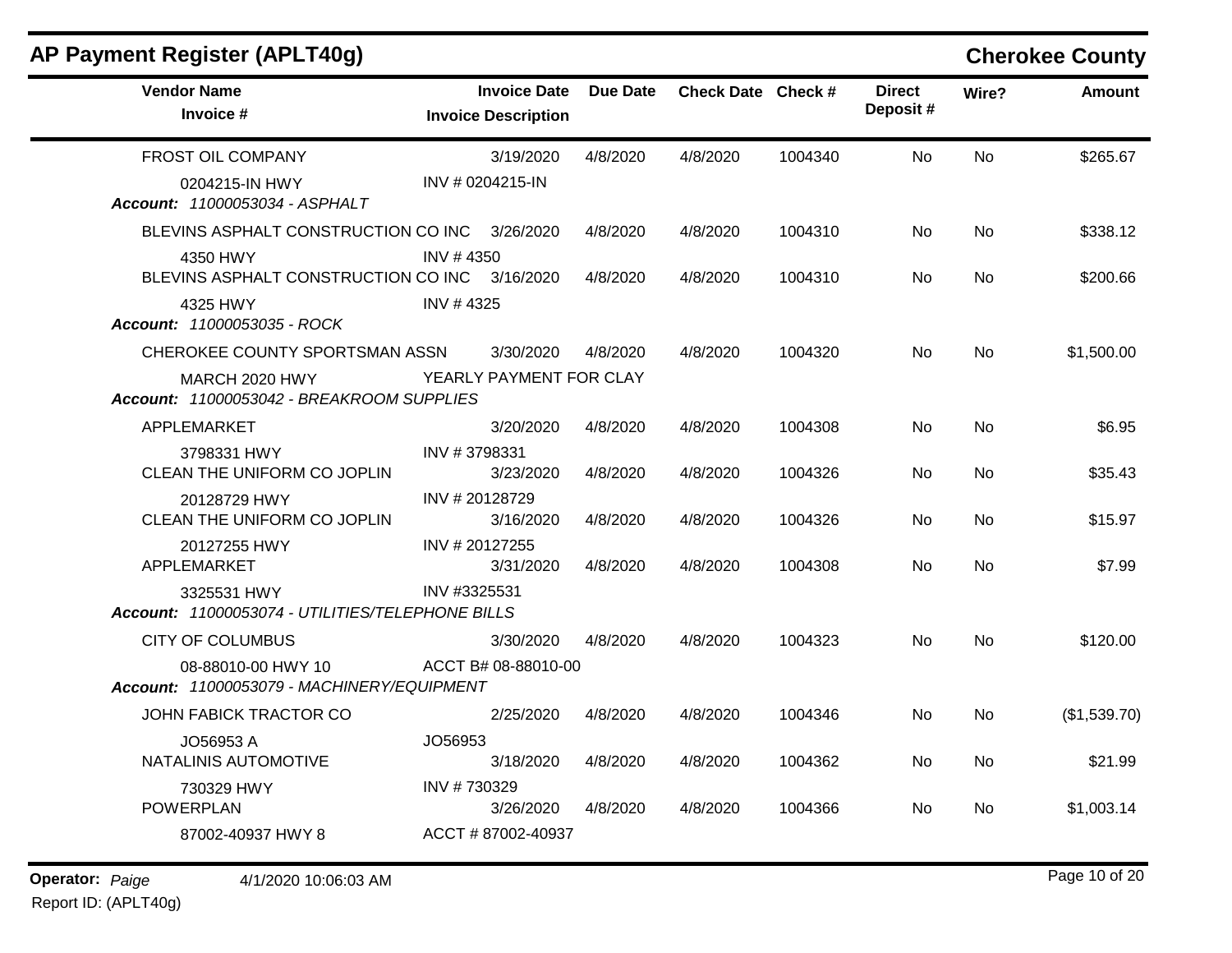### **AP Payment Register (APLT40g) Cherokee County Vendor Name Invoice Date** Due Date **Invoice # Check Date Check # Invoice Description Direct Wire? Amount Deposit #** FROST OIL COMPANY 0204215-IN HWY 3/19/2020 4/8/2020 4/8/2020 1004340 No \$265.67 INV # 0204215-IN No *Account: 11000053034 - ASPHALT* BLEVINS ASPHALT CONSTRUCTION CO INC 4350 HWY 3/26/2020 4/8/2020 4/8/2020 1004310 No \$338.12 INV # 4350 No BLEVINS ASPHALT CONSTRUCTION CO INC 3/16/2020 4325 HWY 3/16/2020 4/8/2020 4/8/2020 1004310 No \$200.66 INV # 4325 No *Account: 11000053035 - ROCK* CHEROKEE COUNTY SPORTSMAN ASSN MARCH 2020 HWY 3/30/2020 4/8/2020 4/8/2020 1004320 No \$1,500.00 YEARLY PAYMENT FOR CLAY No *Account: 11000053042 - BREAKROOM SUPPLIES* APPLEMARKET 3798331 HWY 3/20/2020 4/8/2020 4/8/2020 1004308 No \$6.95 INV # 3798331 No CLEAN THE UNIFORM CO JOPLIN 20128729 HWY 3/23/2020 4/8/2020 4/8/2020 1004326 No \$35.43 INV # 20128729 No CLEAN THE UNIFORM CO JOPLIN 20127255 HWY 3/16/2020 4/8/2020 4/8/2020 1004326 No \$15.97 INV # 20127255 No APPLEMARKET 3325531 HWY 3/31/2020 4/8/2020 4/8/2020 1004308 No \$7.99 INV #3325531 No *Account: 11000053074 - UTILITIES/TELEPHONE BILLS* CITY OF COLUMBUS 08-88010-00 HWY 10 3/30/2020 4/8/2020 4/8/2020 1004323 No \$120.00 ACCT B# 08-88010-00 No *Account: 11000053079 - MACHINERY/EQUIPMENT* JOHN FABICK TRACTOR CO JO56953 A 2/25/2020 4/8/2020 4/8/2020 1004346 No (\$1,539.70) JO56953 No NATALINIS AUTOMOTIVE 730329 HWY 3/18/2020 4/8/2020 4/8/2020 1004362 No \$21.99 INV # 730329 No POWERPLAN 87002-40937 HWY 8 3/26/2020 4/8/2020 4/8/2020 1004366 No \$1,003.14 ACCT # 87002-40937 No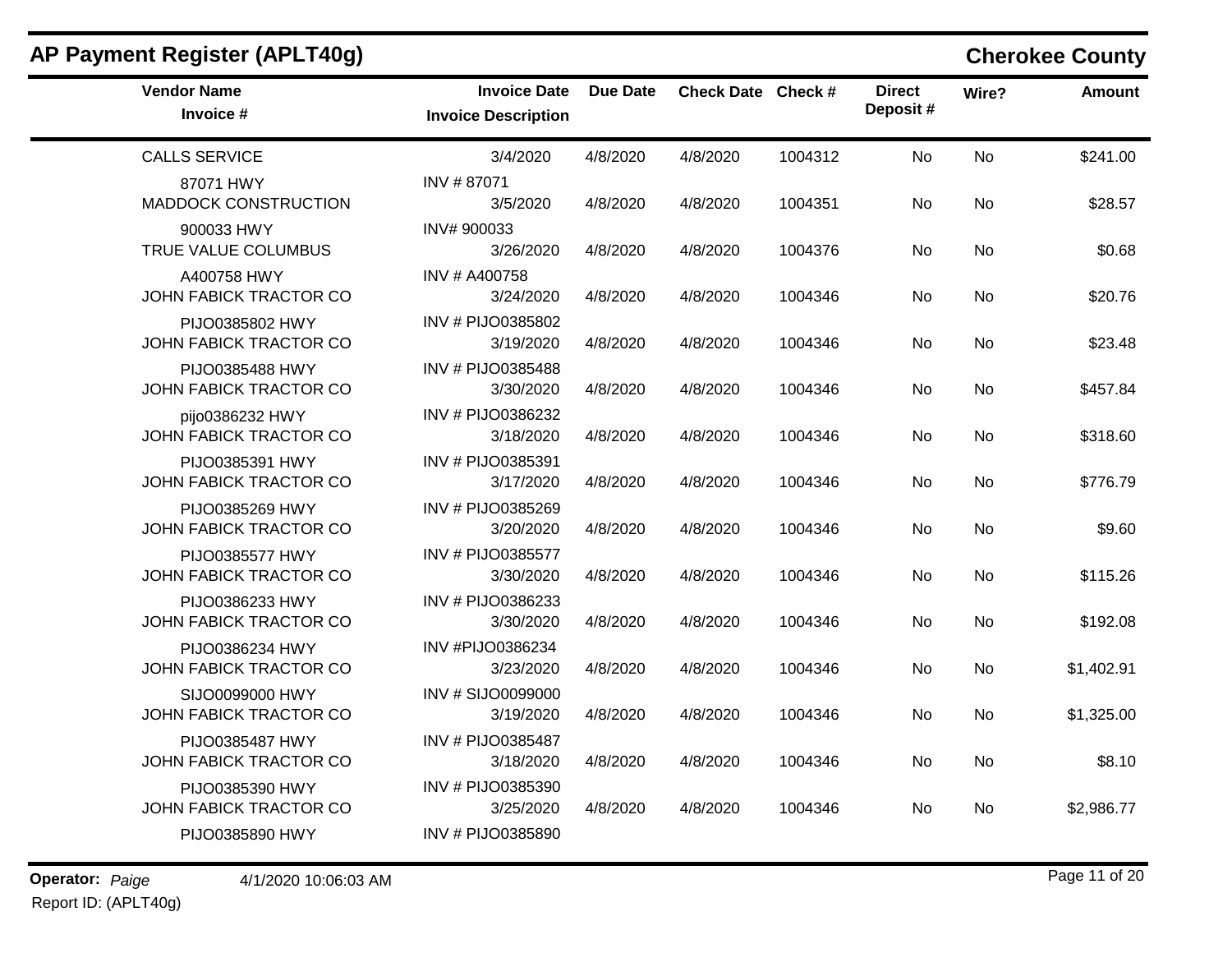| AP Payment Register (APLT40g)             |                                                   |                 |                    |         |                            |           | <b>Cherokee County</b> |
|-------------------------------------------|---------------------------------------------------|-----------------|--------------------|---------|----------------------------|-----------|------------------------|
| <b>Vendor Name</b><br>Invoice #           | <b>Invoice Date</b><br><b>Invoice Description</b> | <b>Due Date</b> | Check Date Check # |         | <b>Direct</b><br>Deposit # | Wire?     | <b>Amount</b>          |
| <b>CALLS SERVICE</b>                      | 3/4/2020                                          | 4/8/2020        | 4/8/2020           | 1004312 | No                         | <b>No</b> | \$241.00               |
| 87071 HWY<br><b>MADDOCK CONSTRUCTION</b>  | INV #87071<br>3/5/2020                            | 4/8/2020        | 4/8/2020           | 1004351 | No                         | No        | \$28.57                |
| 900033 HWY<br>TRUE VALUE COLUMBUS         | INV# 900033<br>3/26/2020                          | 4/8/2020        | 4/8/2020           | 1004376 | No                         | No        | \$0.68                 |
| A400758 HWY<br>JOHN FABICK TRACTOR CO     | INV # A400758<br>3/24/2020                        | 4/8/2020        | 4/8/2020           | 1004346 | No                         | No        | \$20.76                |
| PIJO0385802 HWY<br>JOHN FABICK TRACTOR CO | INV # PIJO0385802<br>3/19/2020                    | 4/8/2020        | 4/8/2020           | 1004346 | No                         | No        | \$23.48                |
| PIJO0385488 HWY<br>JOHN FABICK TRACTOR CO | INV # PIJO0385488<br>3/30/2020                    | 4/8/2020        | 4/8/2020           | 1004346 | No                         | <b>No</b> | \$457.84               |
| pijo0386232 HWY<br>JOHN FABICK TRACTOR CO | INV # PIJO0386232<br>3/18/2020                    | 4/8/2020        | 4/8/2020           | 1004346 | No                         | No        | \$318.60               |
| PIJO0385391 HWY<br>JOHN FABICK TRACTOR CO | INV # PIJO0385391<br>3/17/2020                    | 4/8/2020        | 4/8/2020           | 1004346 | No                         | <b>No</b> | \$776.79               |
| PIJO0385269 HWY<br>JOHN FABICK TRACTOR CO | INV # PIJO0385269<br>3/20/2020                    | 4/8/2020        | 4/8/2020           | 1004346 | No                         | No        | \$9.60                 |
| PIJO0385577 HWY<br>JOHN FABICK TRACTOR CO | INV # PIJO0385577<br>3/30/2020                    | 4/8/2020        | 4/8/2020           | 1004346 | No                         | <b>No</b> | \$115.26               |
| PIJO0386233 HWY<br>JOHN FABICK TRACTOR CO | INV # PIJO0386233<br>3/30/2020                    | 4/8/2020        | 4/8/2020           | 1004346 | No                         | <b>No</b> | \$192.08               |
| PIJO0386234 HWY<br>JOHN FABICK TRACTOR CO | INV #PIJO0386234<br>3/23/2020                     | 4/8/2020        | 4/8/2020           | 1004346 | No                         | No        | \$1,402.91             |
| SIJO0099000 HWY<br>JOHN FABICK TRACTOR CO | <b>INV # SIJO0099000</b><br>3/19/2020             | 4/8/2020        | 4/8/2020           | 1004346 | No                         | <b>No</b> | \$1,325.00             |
| PIJO0385487 HWY<br>JOHN FABICK TRACTOR CO | INV # PIJO0385487<br>3/18/2020                    | 4/8/2020        | 4/8/2020           | 1004346 | No                         | <b>No</b> | \$8.10                 |
| PIJO0385390 HWY<br>JOHN FABICK TRACTOR CO | INV # PIJO0385390<br>3/25/2020                    | 4/8/2020        | 4/8/2020           | 1004346 | No                         | No        | \$2,986.77             |
| PIJO0385890 HWY                           | INV # PIJO0385890                                 |                 |                    |         |                            |           |                        |

**Operator:** Paige 4/1/2020 10:06:03 AM Page 11 of 20 Report ID: (APLT40g)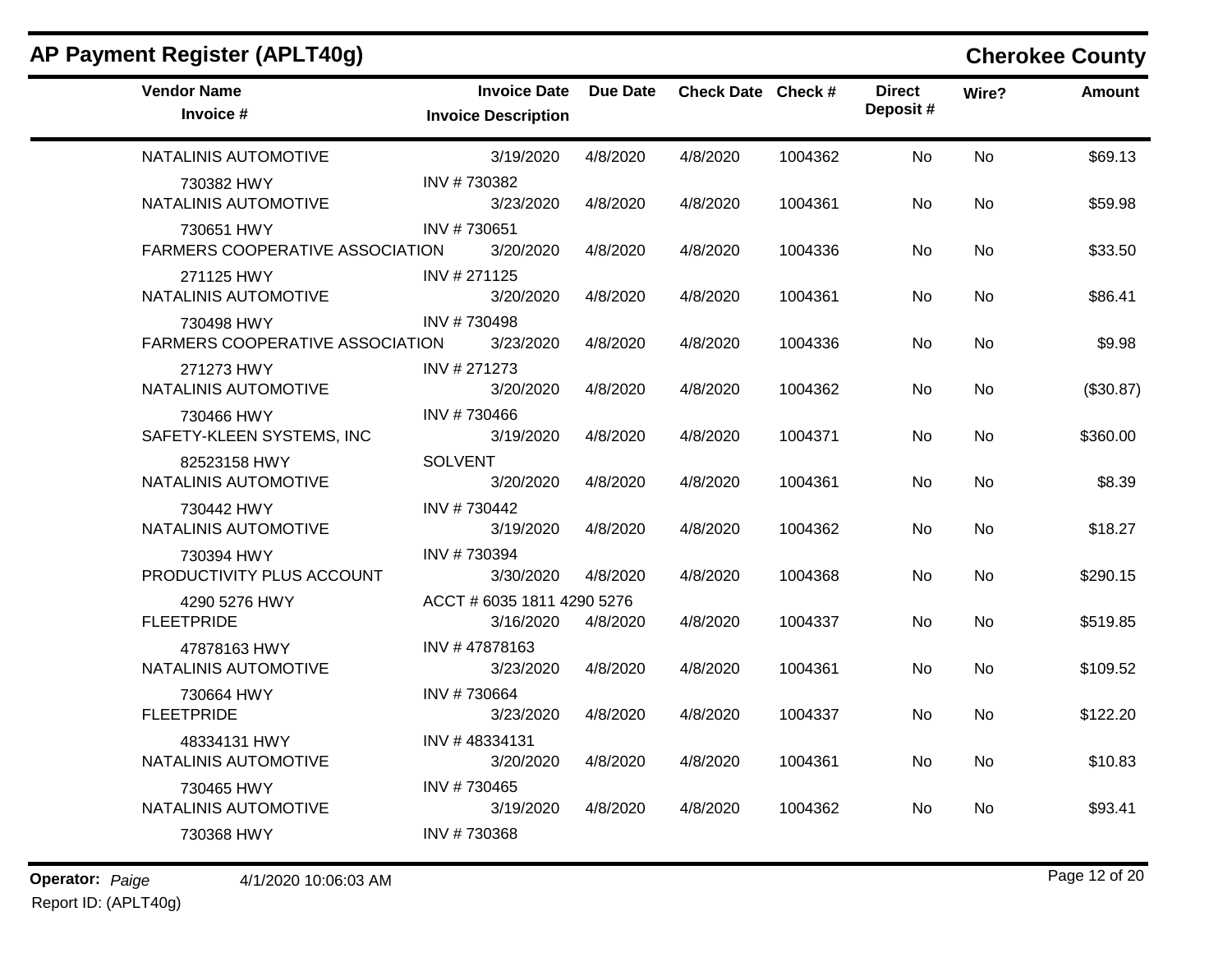| AP Payment Register (APLT40g)                        |                                                   |                 |                    |         |                           |           | <b>Cherokee County</b> |
|------------------------------------------------------|---------------------------------------------------|-----------------|--------------------|---------|---------------------------|-----------|------------------------|
| <b>Vendor Name</b><br>Invoice #                      | <b>Invoice Date</b><br><b>Invoice Description</b> | <b>Due Date</b> | Check Date Check # |         | <b>Direct</b><br>Deposit# | Wire?     | Amount                 |
| NATALINIS AUTOMOTIVE                                 | 3/19/2020                                         | 4/8/2020        | 4/8/2020           | 1004362 | No                        | <b>No</b> | \$69.13                |
| 730382 HWY<br>NATALINIS AUTOMOTIVE                   | INV #730382<br>3/23/2020                          | 4/8/2020        | 4/8/2020           | 1004361 | No                        | No        | \$59.98                |
| 730651 HWY<br><b>FARMERS COOPERATIVE ASSOCIATION</b> | INV #730651<br>3/20/2020                          | 4/8/2020        | 4/8/2020           | 1004336 | No                        | No        | \$33.50                |
| 271125 HWY<br>NATALINIS AUTOMOTIVE                   | INV # 271125<br>3/20/2020                         | 4/8/2020        | 4/8/2020           | 1004361 | No                        | No        | \$86.41                |
| 730498 HWY<br><b>FARMERS COOPERATIVE ASSOCIATION</b> | INV #730498<br>3/23/2020                          | 4/8/2020        | 4/8/2020           | 1004336 | No                        | No        | \$9.98                 |
| 271273 HWY<br>NATALINIS AUTOMOTIVE                   | INV # 271273<br>3/20/2020                         | 4/8/2020        | 4/8/2020           | 1004362 | No                        | No        | (\$30.87)              |
| 730466 HWY<br>SAFETY-KLEEN SYSTEMS, INC              | INV #730466<br>3/19/2020                          | 4/8/2020        | 4/8/2020           | 1004371 | No                        | No        | \$360.00               |
| 82523158 HWY<br>NATALINIS AUTOMOTIVE                 | <b>SOLVENT</b><br>3/20/2020                       | 4/8/2020        | 4/8/2020           | 1004361 | No                        | No        | \$8.39                 |
| 730442 HWY<br>NATALINIS AUTOMOTIVE                   | INV #730442<br>3/19/2020                          | 4/8/2020        | 4/8/2020           | 1004362 | No                        | No        | \$18.27                |
| 730394 HWY<br>PRODUCTIVITY PLUS ACCOUNT              | INV #730394<br>3/30/2020                          | 4/8/2020        | 4/8/2020           | 1004368 | No                        | No        | \$290.15               |
| 4290 5276 HWY<br><b>FLEETPRIDE</b>                   | ACCT # 6035 1811 4290 5276<br>3/16/2020           | 4/8/2020        | 4/8/2020           | 1004337 | No                        | No.       | \$519.85               |
| 47878163 HWY<br>NATALINIS AUTOMOTIVE                 | INV #47878163<br>3/23/2020                        | 4/8/2020        | 4/8/2020           | 1004361 | No                        | No        | \$109.52               |
| 730664 HWY<br><b>FLEETPRIDE</b>                      | INV #730664<br>3/23/2020                          | 4/8/2020        | 4/8/2020           | 1004337 | No                        | <b>No</b> | \$122.20               |
| 48334131 HWY<br>NATALINIS AUTOMOTIVE                 | INV #48334131<br>3/20/2020                        | 4/8/2020        | 4/8/2020           | 1004361 | No                        | No.       | \$10.83                |
| 730465 HWY<br>NATALINIS AUTOMOTIVE                   | INV #730465<br>3/19/2020                          | 4/8/2020        | 4/8/2020           | 1004362 | No                        | No        | \$93.41                |
| 730368 HWY                                           | INV #730368                                       |                 |                    |         |                           |           |                        |

Report ID: (APLT40g)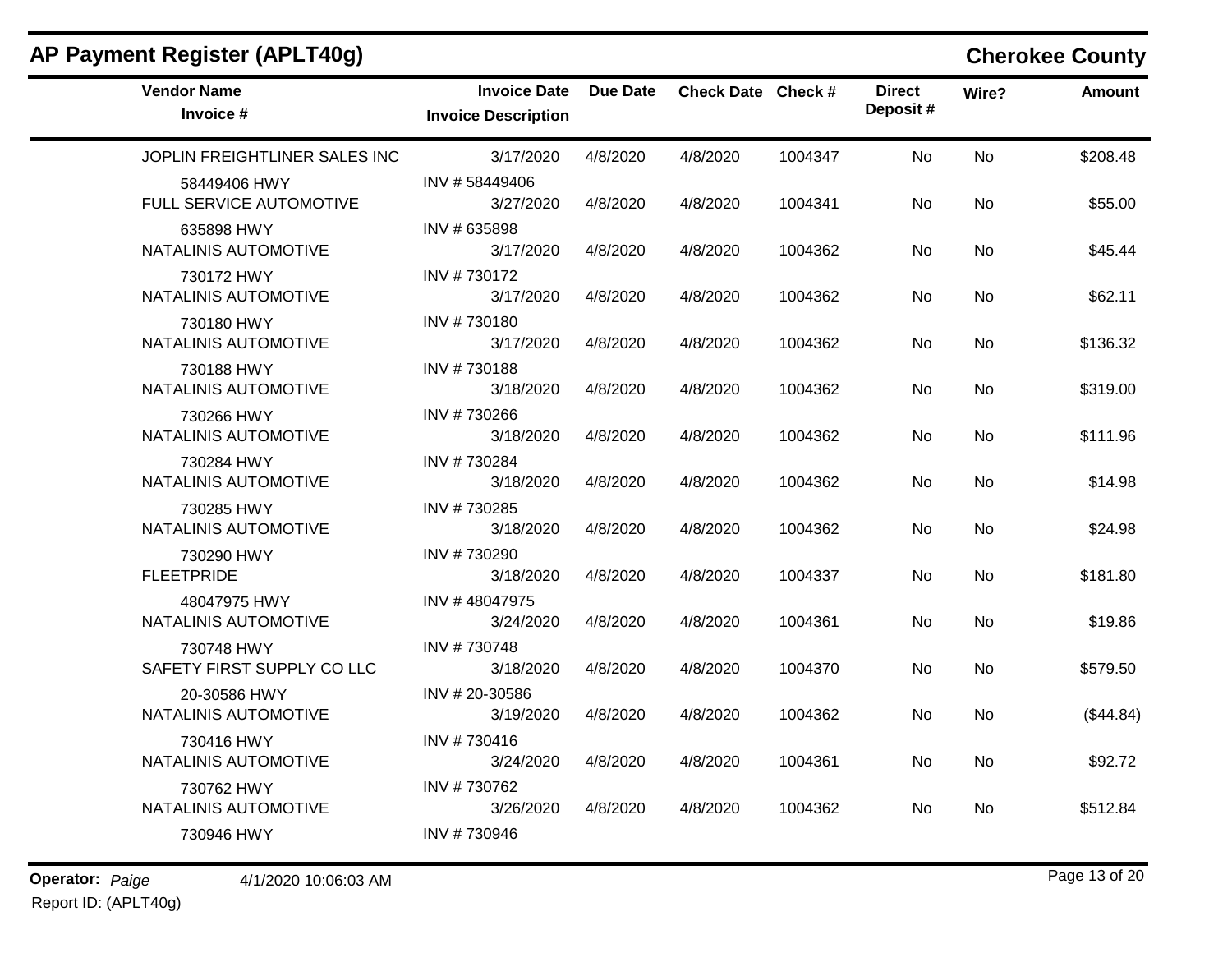| <b>Vendor Name</b><br>Invoice #          | <b>Invoice Date</b><br><b>Invoice Description</b> | Due Date | Check Date Check # |         | <b>Direct</b><br>Deposit# | Wire?     | <b>Amount</b> |
|------------------------------------------|---------------------------------------------------|----------|--------------------|---------|---------------------------|-----------|---------------|
| JOPLIN FREIGHTLINER SALES INC            | 3/17/2020                                         | 4/8/2020 | 4/8/2020           | 1004347 | <b>No</b>                 | <b>No</b> | \$208.48      |
| 58449406 HWY<br>FULL SERVICE AUTOMOTIVE  | INV #58449406<br>3/27/2020                        | 4/8/2020 | 4/8/2020           | 1004341 | No                        | No        | \$55.00       |
| 635898 HWY<br>NATALINIS AUTOMOTIVE       | INV # 635898<br>3/17/2020                         | 4/8/2020 | 4/8/2020           | 1004362 | <b>No</b>                 | <b>No</b> | \$45.44       |
| 730172 HWY<br>NATALINIS AUTOMOTIVE       | INV #730172<br>3/17/2020                          | 4/8/2020 | 4/8/2020           | 1004362 | No                        | <b>No</b> | \$62.11       |
| 730180 HWY<br>NATALINIS AUTOMOTIVE       | INV #730180<br>3/17/2020                          | 4/8/2020 | 4/8/2020           | 1004362 | No                        | No        | \$136.32      |
| 730188 HWY<br>NATALINIS AUTOMOTIVE       | INV #730188<br>3/18/2020                          | 4/8/2020 | 4/8/2020           | 1004362 | <b>No</b>                 | <b>No</b> | \$319.00      |
| 730266 HWY<br>NATALINIS AUTOMOTIVE       | INV #730266<br>3/18/2020                          | 4/8/2020 | 4/8/2020           | 1004362 | No                        | <b>No</b> | \$111.96      |
| 730284 HWY<br>NATALINIS AUTOMOTIVE       | INV #730284<br>3/18/2020                          | 4/8/2020 | 4/8/2020           | 1004362 | No                        | <b>No</b> | \$14.98       |
| 730285 HWY<br>NATALINIS AUTOMOTIVE       | INV #730285<br>3/18/2020                          | 4/8/2020 | 4/8/2020           | 1004362 | No                        | <b>No</b> | \$24.98       |
| 730290 HWY<br><b>FLEETPRIDE</b>          | INV #730290<br>3/18/2020                          | 4/8/2020 | 4/8/2020           | 1004337 | No                        | <b>No</b> | \$181.80      |
| 48047975 HWY<br>NATALINIS AUTOMOTIVE     | INV #48047975<br>3/24/2020                        | 4/8/2020 | 4/8/2020           | 1004361 | No                        | <b>No</b> | \$19.86       |
| 730748 HWY<br>SAFETY FIRST SUPPLY CO LLC | INV #730748<br>3/18/2020                          | 4/8/2020 | 4/8/2020           | 1004370 | No                        | <b>No</b> | \$579.50      |
| 20-30586 HWY<br>NATALINIS AUTOMOTIVE     | INV # 20-30586<br>3/19/2020                       | 4/8/2020 | 4/8/2020           | 1004362 | <b>No</b>                 | <b>No</b> | (\$44.84)     |
| 730416 HWY<br>NATALINIS AUTOMOTIVE       | INV #730416<br>3/24/2020                          | 4/8/2020 | 4/8/2020           | 1004361 | <b>No</b>                 | <b>No</b> | \$92.72       |
| 730762 HWY<br>NATALINIS AUTOMOTIVE       | INV #730762<br>3/26/2020                          | 4/8/2020 | 4/8/2020           | 1004362 | No                        | No        | \$512.84      |
| 730946 HWY                               | INV #730946                                       |          |                    |         |                           |           |               |

# **AP Payment Register (APLT40g) Cherokee County**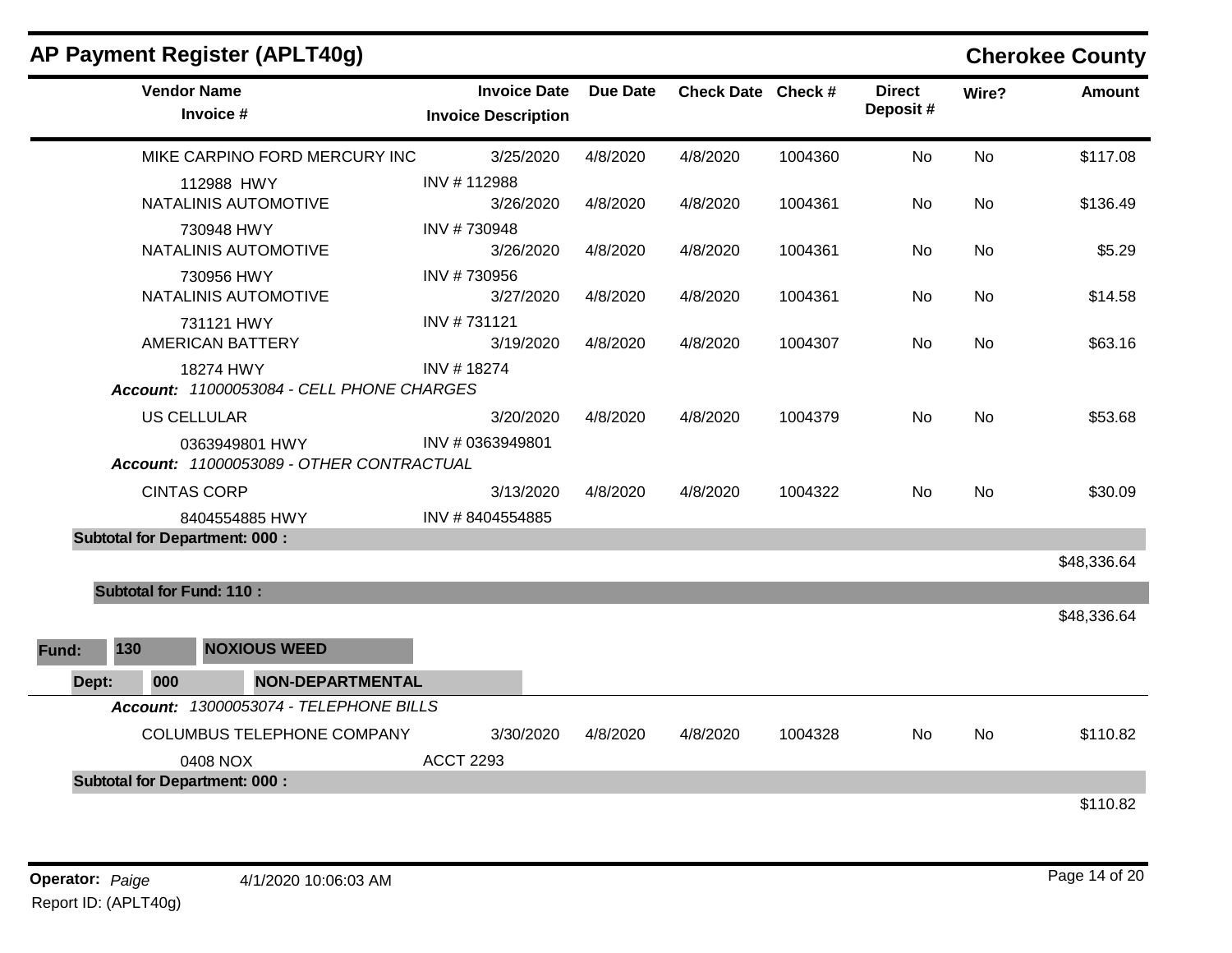|       |                                | <b>AP Payment Register (APLT40g)</b>                       |                                                   |                 |                    |         |                           |           | <b>Cherokee County</b> |
|-------|--------------------------------|------------------------------------------------------------|---------------------------------------------------|-----------------|--------------------|---------|---------------------------|-----------|------------------------|
|       |                                | <b>Vendor Name</b><br>Invoice #                            | <b>Invoice Date</b><br><b>Invoice Description</b> | <b>Due Date</b> | Check Date Check # |         | <b>Direct</b><br>Deposit# | Wire?     | Amount                 |
|       |                                | MIKE CARPINO FORD MERCURY INC                              | 3/25/2020                                         | 4/8/2020        | 4/8/2020           | 1004360 | No                        | <b>No</b> | \$117.08               |
|       |                                | 112988 HWY<br>NATALINIS AUTOMOTIVE                         | INV #112988<br>3/26/2020                          | 4/8/2020        | 4/8/2020           | 1004361 | No.                       | No        | \$136.49               |
|       |                                | 730948 HWY<br><b>NATALINIS AUTOMOTIVE</b>                  | INV #730948<br>3/26/2020                          | 4/8/2020        | 4/8/2020           | 1004361 | No.                       | No        | \$5.29                 |
|       |                                | 730956 HWY<br>NATALINIS AUTOMOTIVE                         | INV #730956<br>3/27/2020                          | 4/8/2020        | 4/8/2020           | 1004361 | No                        | No        | \$14.58                |
|       |                                | 731121 HWY<br><b>AMERICAN BATTERY</b>                      | INV #731121<br>3/19/2020                          | 4/8/2020        | 4/8/2020           | 1004307 | No                        | No        | \$63.16                |
|       |                                | 18274 HWY<br>Account: 11000053084 - CELL PHONE CHARGES     | INV #18274                                        |                 |                    |         |                           |           |                        |
|       |                                | <b>US CELLULAR</b>                                         | 3/20/2020                                         | 4/8/2020        | 4/8/2020           | 1004379 | <b>No</b>                 | <b>No</b> | \$53.68                |
|       |                                | 0363949801 HWY<br>Account: 11000053089 - OTHER CONTRACTUAL | INV #0363949801                                   |                 |                    |         |                           |           |                        |
|       |                                | <b>CINTAS CORP</b>                                         | 3/13/2020                                         | 4/8/2020        | 4/8/2020           | 1004322 | No.                       | <b>No</b> | \$30.09                |
|       |                                | 8404554885 HWY                                             | INV #8404554885                                   |                 |                    |         |                           |           |                        |
|       |                                | <b>Subtotal for Department: 000:</b>                       |                                                   |                 |                    |         |                           |           |                        |
|       |                                |                                                            |                                                   |                 |                    |         |                           |           | \$48,336.64            |
|       | <b>Subtotal for Fund: 110:</b> |                                                            |                                                   |                 |                    |         |                           |           |                        |
|       |                                |                                                            |                                                   |                 |                    |         |                           |           | \$48,336.64            |
| Fund: | 130                            | <b>NOXIOUS WEED</b>                                        |                                                   |                 |                    |         |                           |           |                        |
| Dept: | 000                            | <b>NON-DEPARTMENTAL</b>                                    |                                                   |                 |                    |         |                           |           |                        |
|       |                                | Account: 13000053074 - TELEPHONE BILLS                     |                                                   |                 |                    |         |                           |           |                        |
|       |                                | COLUMBUS TELEPHONE COMPANY                                 | 3/30/2020                                         | 4/8/2020        | 4/8/2020           | 1004328 | No                        | No        | \$110.82               |
|       |                                | 0408 NOX                                                   | <b>ACCT 2293</b>                                  |                 |                    |         |                           |           |                        |
|       |                                | <b>Subtotal for Department: 000:</b>                       |                                                   |                 |                    |         |                           |           |                        |
|       |                                |                                                            |                                                   |                 |                    |         |                           |           | \$110.82               |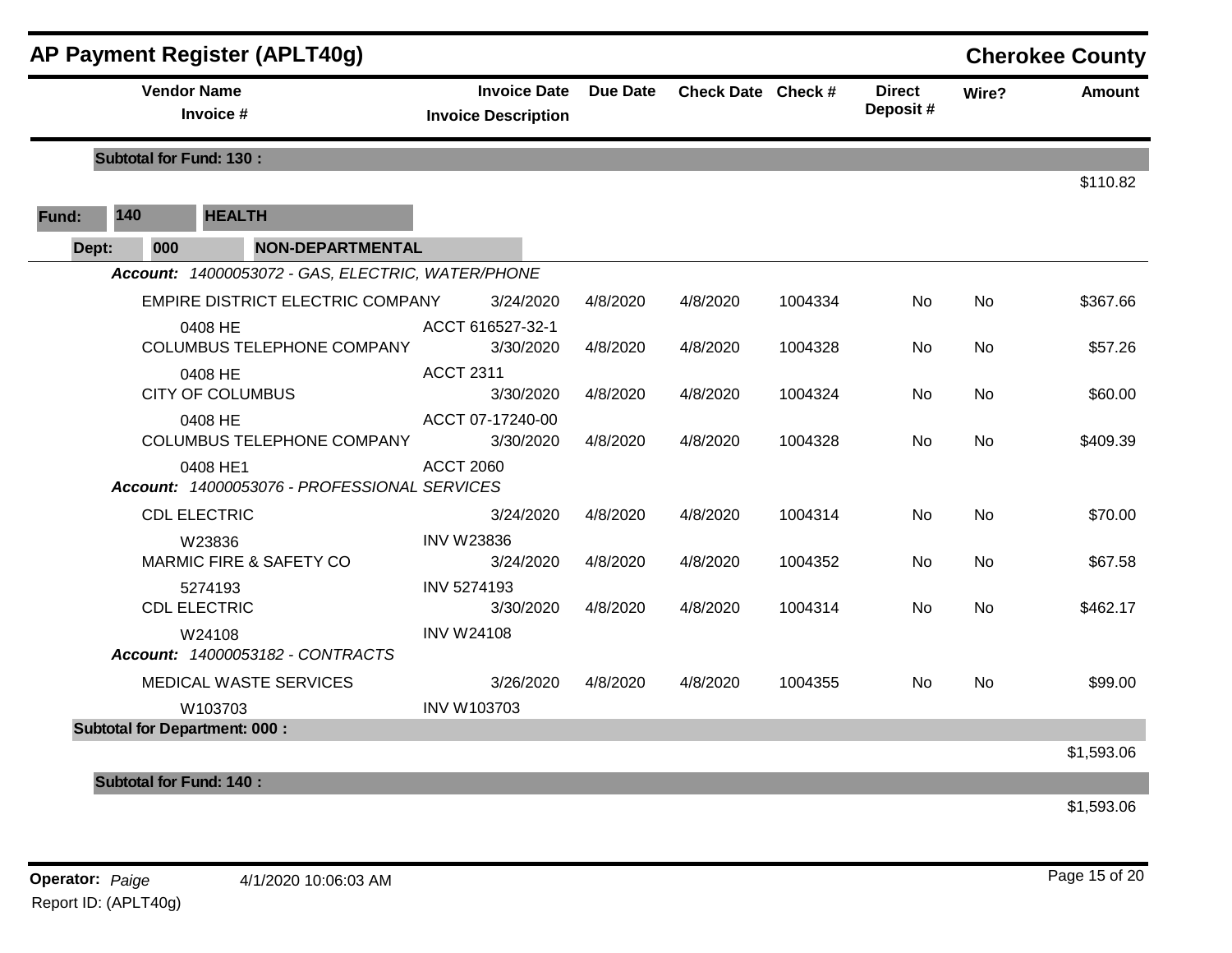|       |     | <b>AP Payment Register (APLT40g)</b>                     |                                                   |                 |                    |         |                           |           | <b>Cherokee County</b> |
|-------|-----|----------------------------------------------------------|---------------------------------------------------|-----------------|--------------------|---------|---------------------------|-----------|------------------------|
|       |     | <b>Vendor Name</b><br>Invoice #                          | <b>Invoice Date</b><br><b>Invoice Description</b> | <b>Due Date</b> | Check Date Check # |         | <b>Direct</b><br>Deposit# | Wire?     | <b>Amount</b>          |
|       |     | <b>Subtotal for Fund: 130:</b>                           |                                                   |                 |                    |         |                           |           |                        |
|       |     |                                                          |                                                   |                 |                    |         |                           |           | \$110.82               |
| Fund: | 140 | <b>HEALTH</b>                                            |                                                   |                 |                    |         |                           |           |                        |
| Dept: | 000 | <b>NON-DEPARTMENTAL</b>                                  |                                                   |                 |                    |         |                           |           |                        |
|       |     | Account: 14000053072 - GAS, ELECTRIC, WATER/PHONE        |                                                   |                 |                    |         |                           |           |                        |
|       |     | EMPIRE DISTRICT ELECTRIC COMPANY                         | 3/24/2020                                         | 4/8/2020        | 4/8/2020           | 1004334 | <b>No</b>                 | <b>No</b> | \$367.66               |
|       |     | 0408 HE<br><b>COLUMBUS TELEPHONE COMPANY</b>             | ACCT 616527-32-1<br>3/30/2020                     | 4/8/2020        | 4/8/2020           | 1004328 | No                        | <b>No</b> | \$57.26                |
|       |     | 0408 HE<br><b>CITY OF COLUMBUS</b>                       | <b>ACCT 2311</b><br>3/30/2020                     | 4/8/2020        | 4/8/2020           | 1004324 | No                        | <b>No</b> | \$60.00                |
|       |     | 0408 HE<br><b>COLUMBUS TELEPHONE COMPANY</b>             | ACCT 07-17240-00<br>3/30/2020                     | 4/8/2020        | 4/8/2020           | 1004328 | No                        | <b>No</b> | \$409.39               |
|       |     | 0408 HE1<br>Account: 14000053076 - PROFESSIONAL SERVICES | <b>ACCT 2060</b>                                  |                 |                    |         |                           |           |                        |
|       |     | <b>CDL ELECTRIC</b>                                      | 3/24/2020                                         | 4/8/2020        | 4/8/2020           | 1004314 | <b>No</b>                 | <b>No</b> | \$70.00                |
|       |     | W23836<br><b>MARMIC FIRE &amp; SAFETY CO</b>             | <b>INV W23836</b><br>3/24/2020                    | 4/8/2020        | 4/8/2020           | 1004352 | No.                       | <b>No</b> | \$67.58                |
|       |     | 5274193<br><b>CDL ELECTRIC</b>                           | <b>INV 5274193</b><br>3/30/2020                   | 4/8/2020        | 4/8/2020           | 1004314 | No                        | No        | \$462.17               |
|       |     | W24108<br>Account: 14000053182 - CONTRACTS               | <b>INV W24108</b>                                 |                 |                    |         |                           |           |                        |
|       |     | MEDICAL WASTE SERVICES                                   | 3/26/2020                                         | 4/8/2020        | 4/8/2020           | 1004355 | No                        | <b>No</b> | \$99.00                |
|       |     | W103703                                                  | <b>INV W103703</b>                                |                 |                    |         |                           |           |                        |
|       |     | <b>Subtotal for Department: 000:</b>                     |                                                   |                 |                    |         |                           |           |                        |
|       |     |                                                          |                                                   |                 |                    |         |                           |           | \$1,593.06             |
|       |     | <b>Subtotal for Fund: 140:</b>                           |                                                   |                 |                    |         |                           |           |                        |

\$1,593.06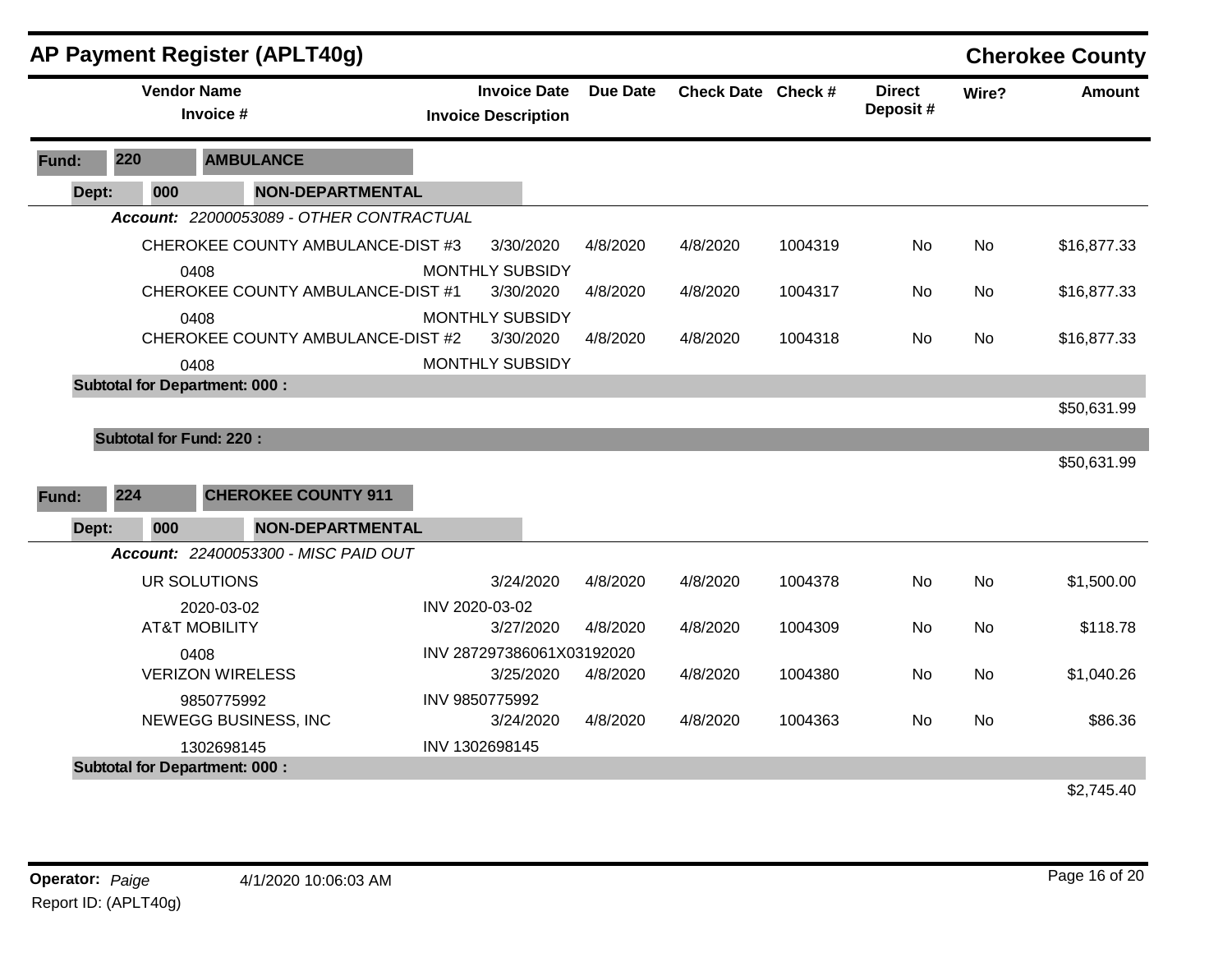|       |       |     | <b>AP Payment Register (APLT40g)</b>      |                            |                     |                 |                    |         |                           |           | <b>Cherokee County</b> |
|-------|-------|-----|-------------------------------------------|----------------------------|---------------------|-----------------|--------------------|---------|---------------------------|-----------|------------------------|
|       |       |     | <b>Vendor Name</b><br>Invoice #           | <b>Invoice Description</b> | <b>Invoice Date</b> | <b>Due Date</b> | Check Date Check # |         | <b>Direct</b><br>Deposit# | Wire?     | <b>Amount</b>          |
| Fund: | 220   |     | <b>AMBULANCE</b>                          |                            |                     |                 |                    |         |                           |           |                        |
|       | Dept: | 000 | <b>NON-DEPARTMENTAL</b>                   |                            |                     |                 |                    |         |                           |           |                        |
|       |       |     | Account: 22000053089 - OTHER CONTRACTUAL  |                            |                     |                 |                    |         |                           |           |                        |
|       |       |     | CHEROKEE COUNTY AMBULANCE-DIST #3         | <b>MONTHLY SUBSIDY</b>     | 3/30/2020           | 4/8/2020        | 4/8/2020           | 1004319 | No                        | <b>No</b> | \$16,877.33            |
|       |       |     | 0408<br>CHEROKEE COUNTY AMBULANCE-DIST #1 |                            | 3/30/2020           | 4/8/2020        | 4/8/2020           | 1004317 | No                        | No        | \$16,877.33            |
|       |       |     | 0408<br>CHEROKEE COUNTY AMBULANCE-DIST #2 | <b>MONTHLY SUBSIDY</b>     | 3/30/2020           | 4/8/2020        | 4/8/2020           | 1004318 | No                        | No        | \$16,877.33            |
|       |       |     | 0408                                      | <b>MONTHLY SUBSIDY</b>     |                     |                 |                    |         |                           |           |                        |
|       |       |     | <b>Subtotal for Department: 000:</b>      |                            |                     |                 |                    |         |                           |           |                        |
|       |       |     |                                           |                            |                     |                 |                    |         |                           |           | \$50,631.99            |
|       |       |     | <b>Subtotal for Fund: 220:</b>            |                            |                     |                 |                    |         |                           |           |                        |
|       |       |     |                                           |                            |                     |                 |                    |         |                           |           | \$50,631.99            |
| Fund: | 224   |     | <b>CHEROKEE COUNTY 911</b>                |                            |                     |                 |                    |         |                           |           |                        |
|       | Dept: | 000 | <b>NON-DEPARTMENTAL</b>                   |                            |                     |                 |                    |         |                           |           |                        |
|       |       |     | Account: 22400053300 - MISC PAID OUT      |                            |                     |                 |                    |         |                           |           |                        |
|       |       |     | UR SOLUTIONS                              |                            | 3/24/2020           | 4/8/2020        | 4/8/2020           | 1004378 | <b>No</b>                 | <b>No</b> | \$1,500.00             |
|       |       |     | 2020-03-02                                | INV 2020-03-02             |                     |                 |                    |         |                           |           |                        |
|       |       |     | <b>AT&amp;T MOBILITY</b>                  |                            | 3/27/2020           | 4/8/2020        | 4/8/2020           | 1004309 | No                        | No        | \$118.78               |
|       |       |     | 0408                                      | INV 287297386061X03192020  |                     |                 |                    |         |                           |           |                        |
|       |       |     | <b>VERIZON WIRELESS</b>                   |                            | 3/25/2020           | 4/8/2020        | 4/8/2020           | 1004380 | No                        | No        | \$1,040.26             |
|       |       |     | 9850775992<br>NEWEGG BUSINESS, INC        | INV 9850775992             | 3/24/2020           | 4/8/2020        | 4/8/2020           | 1004363 | No.                       | No.       | \$86.36                |
|       |       |     | 1302698145                                | INV 1302698145             |                     |                 |                    |         |                           |           |                        |
|       |       |     | <b>Subtotal for Department: 000:</b>      |                            |                     |                 |                    |         |                           |           |                        |
|       |       |     |                                           |                            |                     |                 |                    |         |                           |           | \$274540               |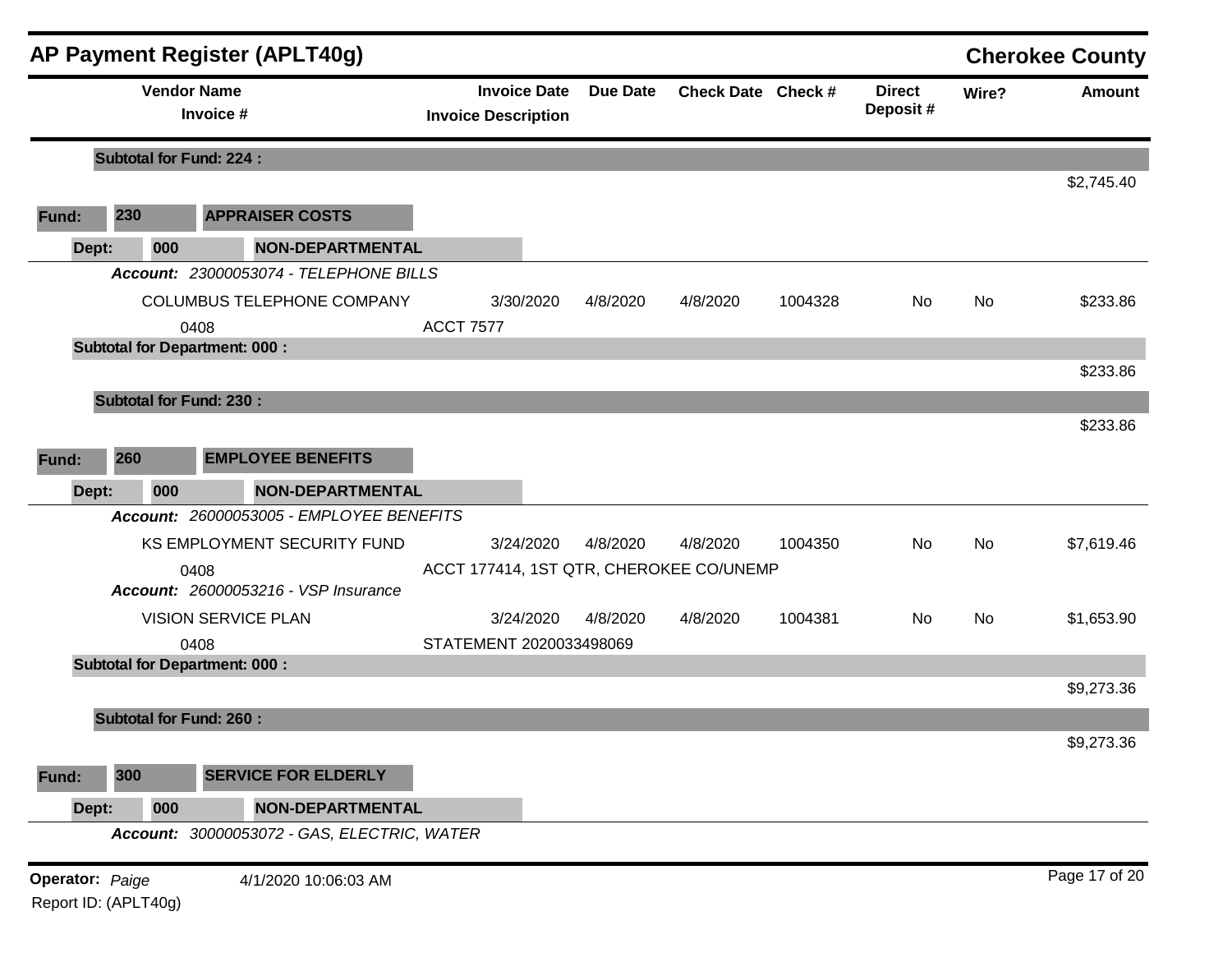|                 |                                | <b>AP Payment Register (APLT40g)</b>        |                            |                     |                 |                                         |         |                           |           | <b>Cherokee County</b> |
|-----------------|--------------------------------|---------------------------------------------|----------------------------|---------------------|-----------------|-----------------------------------------|---------|---------------------------|-----------|------------------------|
|                 |                                | <b>Vendor Name</b><br>Invoice #             | <b>Invoice Description</b> | <b>Invoice Date</b> | <b>Due Date</b> | Check Date Check #                      |         | <b>Direct</b><br>Deposit# | Wire?     | <b>Amount</b>          |
|                 | <b>Subtotal for Fund: 224:</b> |                                             |                            |                     |                 |                                         |         |                           |           |                        |
|                 |                                |                                             |                            |                     |                 |                                         |         |                           |           | \$2,745.40             |
| Fund:           | 230                            | <b>APPRAISER COSTS</b>                      |                            |                     |                 |                                         |         |                           |           |                        |
| Dept:           | 000                            | <b>NON-DEPARTMENTAL</b>                     |                            |                     |                 |                                         |         |                           |           |                        |
|                 |                                | Account: 23000053074 - TELEPHONE BILLS      |                            |                     |                 |                                         |         |                           |           |                        |
|                 |                                | COLUMBUS TELEPHONE COMPANY                  |                            | 3/30/2020           | 4/8/2020        | 4/8/2020                                | 1004328 | No                        | <b>No</b> | \$233.86               |
|                 |                                | 0408                                        | <b>ACCT 7577</b>           |                     |                 |                                         |         |                           |           |                        |
|                 |                                | <b>Subtotal for Department: 000:</b>        |                            |                     |                 |                                         |         |                           |           |                        |
|                 |                                |                                             |                            |                     |                 |                                         |         |                           |           | \$233.86               |
|                 | <b>Subtotal for Fund: 230:</b> |                                             |                            |                     |                 |                                         |         |                           |           |                        |
|                 |                                |                                             |                            |                     |                 |                                         |         |                           |           | \$233.86               |
| Fund:           | 260                            | <b>EMPLOYEE BENEFITS</b>                    |                            |                     |                 |                                         |         |                           |           |                        |
| Dept:           | 000                            | <b>NON-DEPARTMENTAL</b>                     |                            |                     |                 |                                         |         |                           |           |                        |
|                 |                                | Account: 26000053005 - EMPLOYEE BENEFITS    |                            |                     |                 |                                         |         |                           |           |                        |
|                 |                                | KS EMPLOYMENT SECURITY FUND                 |                            | 3/24/2020           | 4/8/2020        | 4/8/2020                                | 1004350 | No                        | <b>No</b> | \$7,619.46             |
|                 |                                | 0408                                        |                            |                     |                 | ACCT 177414, 1ST QTR, CHEROKEE CO/UNEMP |         |                           |           |                        |
|                 |                                | <b>Account: 26000053216 - VSP Insurance</b> |                            |                     |                 |                                         |         |                           |           |                        |
|                 |                                | <b>VISION SERVICE PLAN</b>                  |                            | 3/24/2020           | 4/8/2020        | 4/8/2020                                | 1004381 | No                        | No        | \$1,653.90             |
|                 |                                | 0408                                        | STATEMENT 2020033498069    |                     |                 |                                         |         |                           |           |                        |
|                 |                                | <b>Subtotal for Department: 000:</b>        |                            |                     |                 |                                         |         |                           |           |                        |
|                 |                                |                                             |                            |                     |                 |                                         |         |                           |           | \$9,273.36             |
|                 | <b>Subtotal for Fund: 260:</b> |                                             |                            |                     |                 |                                         |         |                           |           |                        |
|                 |                                |                                             |                            |                     |                 |                                         |         |                           |           | \$9,273.36             |
| Fund:           | 300                            | <b>SERVICE FOR ELDERLY</b>                  |                            |                     |                 |                                         |         |                           |           |                        |
| Dept:           | 000                            | <b>NON-DEPARTMENTAL</b>                     |                            |                     |                 |                                         |         |                           |           |                        |
|                 |                                | Account: 30000053072 - GAS, ELECTRIC, WATER |                            |                     |                 |                                         |         |                           |           |                        |
| Operator: Paige |                                | 4/1/2020 10:06:03 AM                        |                            |                     |                 |                                         |         |                           |           | Page 17 of 20          |
|                 | Report ID: (APLT40g)           |                                             |                            |                     |                 |                                         |         |                           |           |                        |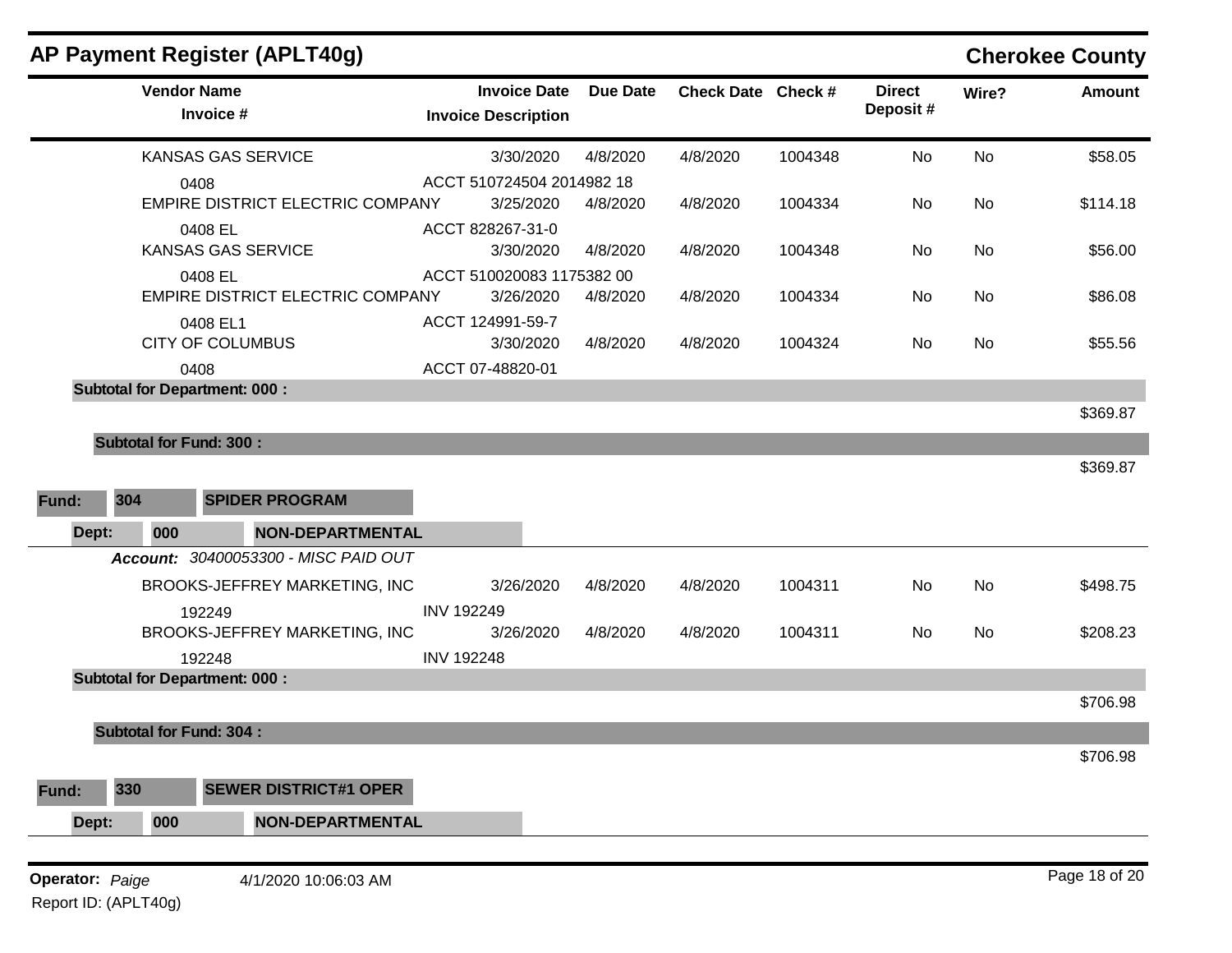|       |                                | <b>AP Payment Register (APLT40g)</b>               |                                                   |                 |                    |         |                           |           | <b>Cherokee County</b> |
|-------|--------------------------------|----------------------------------------------------|---------------------------------------------------|-----------------|--------------------|---------|---------------------------|-----------|------------------------|
|       | <b>Vendor Name</b>             | Invoice #                                          | <b>Invoice Date</b><br><b>Invoice Description</b> | <b>Due Date</b> | Check Date Check # |         | <b>Direct</b><br>Deposit# | Wire?     | <b>Amount</b>          |
|       |                                | KANSAS GAS SERVICE                                 | 3/30/2020                                         | 4/8/2020        | 4/8/2020           | 1004348 | No                        | No        | \$58.05                |
|       |                                | 0408<br>EMPIRE DISTRICT ELECTRIC COMPANY           | ACCT 510724504 2014982 18<br>3/25/2020            | 4/8/2020        | 4/8/2020           | 1004334 | No                        | No        | \$114.18               |
|       |                                | 0408 EL<br>KANSAS GAS SERVICE                      | ACCT 828267-31-0<br>3/30/2020                     | 4/8/2020        | 4/8/2020           | 1004348 | No                        | No        | \$56.00                |
|       |                                | 0408 EL<br><b>EMPIRE DISTRICT ELECTRIC COMPANY</b> | ACCT 510020083 1175382 00<br>3/26/2020            | 4/8/2020        | 4/8/2020           | 1004334 | No                        | <b>No</b> | \$86.08                |
|       |                                | 0408 EL1<br><b>CITY OF COLUMBUS</b>                | ACCT 124991-59-7<br>3/30/2020                     | 4/8/2020        | 4/8/2020           | 1004324 | No.                       | No        | \$55.56                |
|       |                                | 0408                                               | ACCT 07-48820-01                                  |                 |                    |         |                           |           |                        |
|       |                                | <b>Subtotal for Department: 000:</b>               |                                                   |                 |                    |         |                           |           | \$369.87               |
|       | <b>Subtotal for Fund: 300:</b> |                                                    |                                                   |                 |                    |         |                           |           |                        |
|       |                                |                                                    |                                                   |                 |                    |         |                           |           | \$369.87               |
| Fund: | 304                            | <b>SPIDER PROGRAM</b>                              |                                                   |                 |                    |         |                           |           |                        |
| Dept: | 000                            | <b>NON-DEPARTMENTAL</b>                            |                                                   |                 |                    |         |                           |           |                        |
|       |                                | Account: 30400053300 - MISC PAID OUT               |                                                   |                 |                    |         |                           |           |                        |
|       |                                | BROOKS-JEFFREY MARKETING, INC                      | 3/26/2020                                         | 4/8/2020        | 4/8/2020           | 1004311 | No                        | No        | \$498.75               |
|       |                                | 192249<br>BROOKS-JEFFREY MARKETING, INC            | <b>INV 192249</b><br>3/26/2020                    | 4/8/2020        | 4/8/2020           | 1004311 | No                        | <b>No</b> | \$208.23               |
|       |                                | 192248                                             | <b>INV 192248</b>                                 |                 |                    |         |                           |           |                        |
|       |                                | <b>Subtotal for Department: 000:</b>               |                                                   |                 |                    |         |                           |           |                        |
|       |                                |                                                    |                                                   |                 |                    |         |                           |           | \$706.98               |
|       | <b>Subtotal for Fund: 304:</b> |                                                    |                                                   |                 |                    |         |                           |           |                        |
|       |                                |                                                    |                                                   |                 |                    |         |                           |           | \$706.98               |
| Fund: | 330                            | <b>SEWER DISTRICT#1 OPER</b>                       |                                                   |                 |                    |         |                           |           |                        |
| Dept: | 000                            | <b>NON-DEPARTMENTAL</b>                            |                                                   |                 |                    |         |                           |           |                        |
|       |                                |                                                    |                                                   |                 |                    |         |                           |           |                        |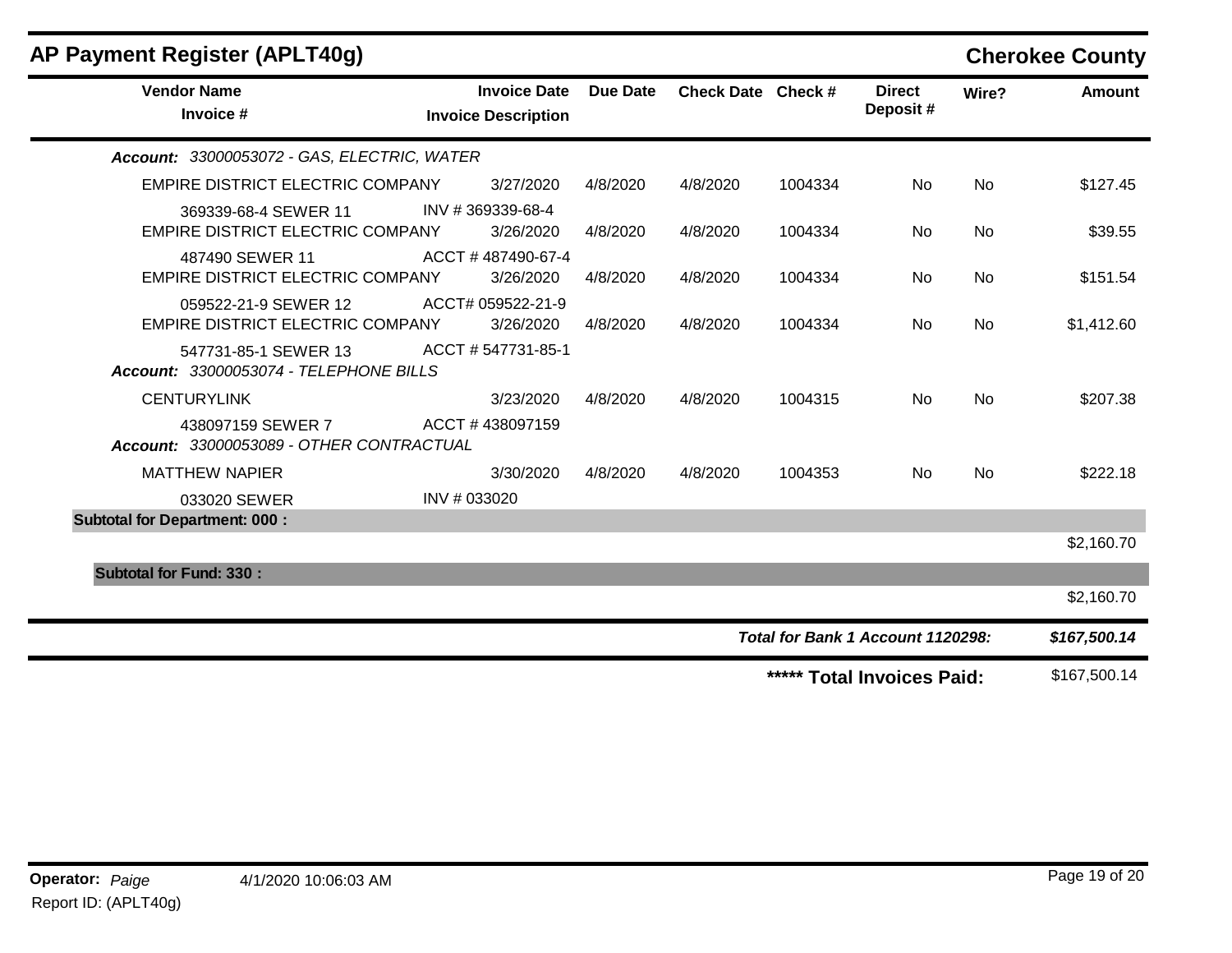| AP Payment Register (APLT40g)                                   |                                                   |          |                    |         |                                   |           | <b>Cherokee County</b> |
|-----------------------------------------------------------------|---------------------------------------------------|----------|--------------------|---------|-----------------------------------|-----------|------------------------|
| <b>Vendor Name</b><br>Invoice #                                 | <b>Invoice Date</b><br><b>Invoice Description</b> | Due Date | Check Date Check # |         | <b>Direct</b><br>Deposit#         | Wire?     | Amount                 |
| Account: 33000053072 - GAS, ELECTRIC, WATER                     |                                                   |          |                    |         |                                   |           |                        |
| <b>EMPIRE DISTRICT ELECTRIC COMPANY</b>                         | 3/27/2020                                         | 4/8/2020 | 4/8/2020           | 1004334 | <b>No</b>                         | <b>No</b> | \$127.45               |
| 369339-68-4 SEWER 11<br><b>EMPIRE DISTRICT ELECTRIC COMPANY</b> | INV #369339-68-4<br>3/26/2020                     | 4/8/2020 | 4/8/2020           | 1004334 | No                                | <b>No</b> | \$39.55                |
| 487490 SEWER 11<br><b>EMPIRE DISTRICT ELECTRIC COMPANY</b>      | ACCT #487490-67-4<br>3/26/2020                    | 4/8/2020 | 4/8/2020           | 1004334 | <b>No</b>                         | <b>No</b> | \$151.54               |
| 059522-21-9 SEWER 12<br><b>EMPIRE DISTRICT ELECTRIC COMPANY</b> | ACCT# 059522-21-9<br>3/26/2020                    | 4/8/2020 | 4/8/2020           | 1004334 | <b>No</b>                         | <b>No</b> | \$1,412.60             |
| 547731-85-1 SEWER 13<br>Account: 33000053074 - TELEPHONE BILLS  | ACCT # 547731-85-1                                |          |                    |         |                                   |           |                        |
| <b>CENTURYLINK</b>                                              | 3/23/2020                                         | 4/8/2020 | 4/8/2020           | 1004315 | <b>No</b>                         | <b>No</b> | \$207.38               |
| 438097159 SEWER 7<br>Account: 33000053089 - OTHER CONTRACTUAL   | ACCT #438097159                                   |          |                    |         |                                   |           |                        |
| <b>MATTHEW NAPIER</b>                                           | 3/30/2020                                         | 4/8/2020 | 4/8/2020           | 1004353 | <b>No</b>                         | <b>No</b> | \$222.18               |
| 033020 SEWER                                                    | INV # 033020                                      |          |                    |         |                                   |           |                        |
| <b>Subtotal for Department: 000:</b>                            |                                                   |          |                    |         |                                   |           |                        |
|                                                                 |                                                   |          |                    |         |                                   |           | \$2,160.70             |
| <b>Subtotal for Fund: 330:</b>                                  |                                                   |          |                    |         |                                   |           | \$2,160.70             |
|                                                                 |                                                   |          |                    |         | Total for Bank 1 Account 1120298: |           | \$167,500.14           |
|                                                                 |                                                   |          |                    |         | ***** Total Invoices Paid:        |           | \$167,500.14           |